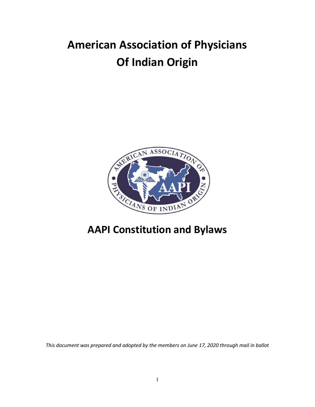# **American Association of Physicians Of Indian Origin**



# **AAPI Constitution and Bylaws**

*This document was prepared and adopted by the members on June 17, 2020 through mail in ballot*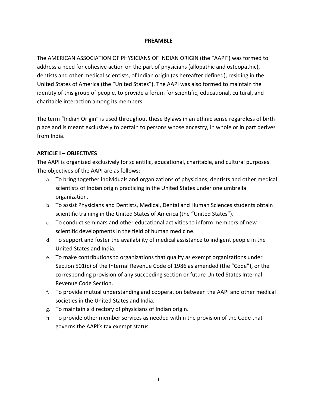#### **PREAMBLE**

The AMERICAN ASSOCIATION OF PHYSICIANS OF INDIAN ORIGIN (the "AAPI") was formed to address a need for cohesive action on the part of physicians (allopathic and osteopathic), dentists and other medical scientists, of Indian origin (as hereafter defined), residing in the United States of America (the "United States"). The AAPI was also formed to maintain the identity of this group of people, to provide a forum for scientific, educational, cultural, and charitable interaction among its members.

The term "Indian Origin" is used throughout these Bylaws in an ethnic sense regardless of birth place and is meant exclusively to pertain to persons whose ancestry, in whole or in part derives from India.

# **ARTICLE I – OBJECTIVES**

The AAPI is organized exclusively for scientific, educational, charitable, and cultural purposes. The objectives of the AAPI are as follows:

- a. To bring together individuals and organizations of physicians, dentists and other medical scientists of Indian origin practicing in the United States under one umbrella organization.
- b. To assist Physicians and Dentists, Medical, Dental and Human Sciences students obtain scientific training in the United States of America (the "United States").
- c. To conduct seminars and other educational activities to inform members of new scientific developments in the field of human medicine.
- d. To support and foster the availability of medical assistance to indigent people in the United States and India.
- e. To make contributions to organizations that qualify as exempt organizations under Section 501(c) of the Internal Revenue Code of 1986 as amended (the "Code"), or the corresponding provision of any succeeding section or future United States Internal Revenue Code Section.
- f. To provide mutual understanding and cooperation between the AAPI and other medical societies in the United States and India.
- g. To maintain a directory of physicians of Indian origin.
- h. To provide other member services as needed within the provision of the Code that governs the AAPI's tax exempt status.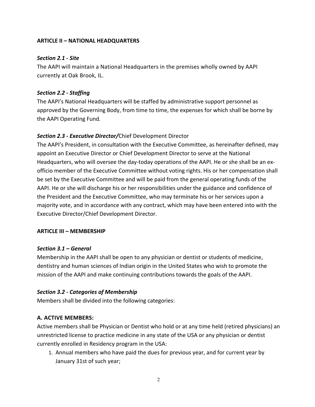# **ARTICLE II – NATIONAL HEADQUARTERS**

# *Section 2.1 - Site*

The AAPI will maintain a National Headquarters in the premises wholly owned by AAPI currently at Oak Brook, IL.

# *Section 2.2 - Staffing*

The AAPI's National Headquarters will be staffed by administrative support personnel as approved by the Governing Body, from time to time, the expenses for which shall be borne by the AAPI Operating Fund*.*

# *Section 2.3 - Executive Director/*Chief Development Director

The AAPI's President, in consultation with the Executive Committee, as hereinafter defined, may appoint an Executive Director or Chief Development Director to serve at the National Headquarters, who will oversee the day-today operations of the AAPI. He or she shall be an exofficio member of the Executive Committee without voting rights. His or her compensation shall be set by the Executive Committee and will be paid from the general operating funds of the AAPI. He or she will discharge his or her responsibilities under the guidance and confidence of the President and the Executive Committee, who may terminate his or her services upon a majority vote, and in accordance with any contract, which may have been entered into with the Executive Director/Chief Development Director.

## **ARTICLE III – MEMBERSHIP**

## *Section 3.1 – General*

Membership in the AAPI shall be open to any physician or dentist or students of medicine, dentistry and human sciences of Indian origin in the United States who wish to promote the mission of the AAPI and make continuing contributions towards the goals of the AAPI.

# *Section 3.2 - Categories of Membership*

Members shall be divided into the following categories:

## **A. ACTIVE MEMBERS:**

Active members shall be Physician or Dentist who hold or at any time held (retired physicians) an unrestricted license to practice medicine in any state of the USA or any physician or dentist currently enrolled in Residency program in the USA:

1. Annual members who have paid the dues for previous year, and for current year by January 31st of such year;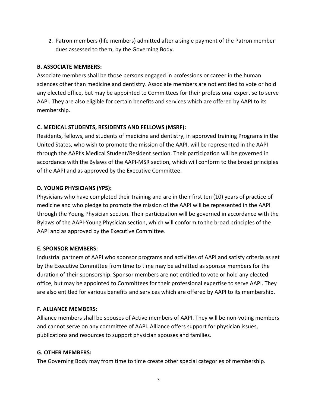2. Patron members (life members) admitted after a single payment of the Patron member dues assessed to them, by the Governing Body.

# **B. ASSOCIATE MEMBERS:**

Associate members shall be those persons engaged in professions or career in the human sciences other than medicine and dentistry. Associate members are not entitled to vote or hold any elected office, but may be appointed to Committees for their professional expertise to serve AAPI. They are also eligible for certain benefits and services which are offered by AAPI to its membership.

# **C. MEDICAL STUDENTS, RESIDENTS AND FELLOWS (MSRF):**

Residents, fellows, and students of medicine and dentistry, in approved training Programs in the United States, who wish to promote the mission of the AAPI, will be represented in the AAPI through the AAPI's Medical Student/Resident section. Their participation will be governed in accordance with the Bylaws of the AAPI-MSR section, which will conform to the broad principles of the AAPI and as approved by the Executive Committee.

# **D. YOUNG PHYSICIANS (YPS):**

Physicians who have completed their training and are in their first ten (10) years of practice of medicine and who pledge to promote the mission of the AAPI will be represented in the AAPI through the Young Physician section. Their participation will be governed in accordance with the Bylaws of the AAPI-Young Physician section, which will conform to the broad principles of the AAPI and as approved by the Executive Committee.

## **E. SPONSOR MEMBERS:**

Industrial partners of AAPI who sponsor programs and activities of AAPI and satisfy criteria as set by the Executive Committee from time to time may be admitted as sponsor members for the duration of their sponsorship. Sponsor members are not entitled to vote or hold any elected office, but may be appointed to Committees for their professional expertise to serve AAPI. They are also entitled for various benefits and services which are offered by AAPI to its membership.

# **F. ALLIANCE MEMBERS:**

Alliance members shall be spouses of Active members of AAPI. They will be non-voting members and cannot serve on any committee of AAPI. Alliance offers support for physician issues, publications and resources to support physician spouses and families.

## **G. OTHER MEMBERS:**

The Governing Body may from time to time create other special categories of membership.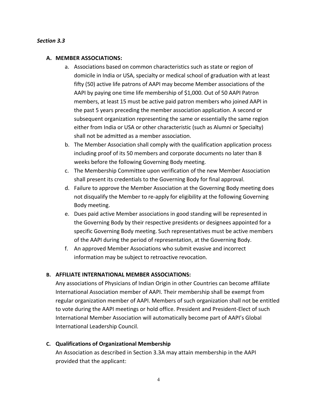#### *Section 3.3*

#### **A. MEMBER ASSOCIATIONS:**

- a. Associations based on common characteristics such as state or region of domicile in India or USA, specialty or medical school of graduation with at least fifty (50) active life patrons of AAPI may become Member associations of the AAPI by paying one time life membership of \$1,000. Out of 50 AAPI Patron members, at least 15 must be active paid patron members who joined AAPI in the past 5 years preceding the member association application. A second or subsequent organization representing the same or essentially the same region either from India or USA or other characteristic (such as Alumni or Specialty) shall not be admitted as a member association.
- b. The Member Association shall comply with the qualification application process including proof of its 50 members and corporate documents no later than 8 weeks before the following Governing Body meeting.
- c. The Membership Committee upon verification of the new Member Association shall present its credentials to the Governing Body for final approval.
- d. Failure to approve the Member Association at the Governing Body meeting does not disqualify the Member to re-apply for eligibility at the following Governing Body meeting.
- e. Dues paid active Member associations in good standing will be represented in the Governing Body by their respective presidents or designees appointed for a specific Governing Body meeting. Such representatives must be active members of the AAPI during the period of representation, at the Governing Body.
- f. An approved Member Associations who submit evasive and incorrect information may be subject to retroactive revocation.

#### **B. AFFILIATE INTERNATIONAL MEMBER ASSOCIATIONS:**

Any associations of Physicians of Indian Origin in other Countries can become affiliate International Association member of AAPI. Their membership shall be exempt from regular organization member of AAPI. Members of such organization shall not be entitled to vote during the AAPI meetings or hold office. President and President-Elect of such International Member Association will automatically become part of AAPI's Global International Leadership Council.

#### **C. Qualifications of Organizational Membership**

An Association as described in Section 3.3A may attain membership in the AAPI provided that the applicant: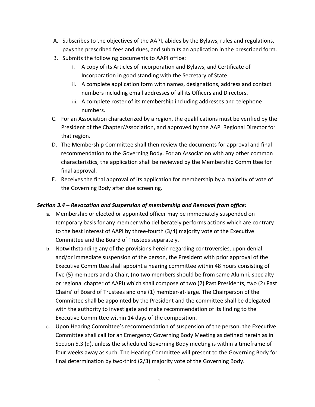- A. Subscribes to the objectives of the AAPI, abides by the Bylaws, rules and regulations, pays the prescribed fees and dues, and submits an application in the prescribed form.
- B. Submits the following documents to AAPI office:
	- i. A copy of its Articles of Incorporation and Bylaws, and Certificate of Incorporation in good standing with the Secretary of State
	- ii. A complete application form with names, designations, address and contact numbers including email addresses of all its Officers and Directors.
	- iii. A complete roster of its membership including addresses and telephone numbers.
- C. For an Association characterized by a region, the qualifications must be verified by the President of the Chapter/Association, and approved by the AAPI Regional Director for that region.
- D. The Membership Committee shall then review the documents for approval and final recommendation to the Governing Body. For an Association with any other common characteristics, the application shall be reviewed by the Membership Committee for final approval.
- E. Receives the final approval of its application for membership by a majority of vote of the Governing Body after due screening.

# *Section 3.4 – Revocation and Suspension of membership and Removal from office:*

- a. Membership or elected or appointed officer may be immediately suspended on temporary basis for any member who deliberately performs actions which are contrary to the best interest of AAPI by three-fourth (3/4) majority vote of the Executive Committee and the Board of Trustees separately.
- b. Notwithstanding any of the provisions herein regarding controversies, upon denial and/or immediate suspension of the person, the President with prior approval of the Executive Committee shall appoint a hearing committee within 48 hours consisting of five (5) members and a Chair, (no two members should be from same Alumni, specialty or regional chapter of AAPI) which shall compose of two (2) Past Presidents, two (2) Past Chairs' of Board of Trustees and one (1) member-at-large. The Chairperson of the Committee shall be appointed by the President and the committee shall be delegated with the authority to investigate and make recommendation of its finding to the Executive Committee within 14 days of the composition.
- c. Upon Hearing Committee's recommendation of suspension of the person, the Executive Committee shall call for an Emergency Governing Body Meeting as defined herein as in Section 5.3 (d), unless the scheduled Governing Body meeting is within a timeframe of four weeks away as such. The Hearing Committee will present to the Governing Body for final determination by two-third (2/3) majority vote of the Governing Body.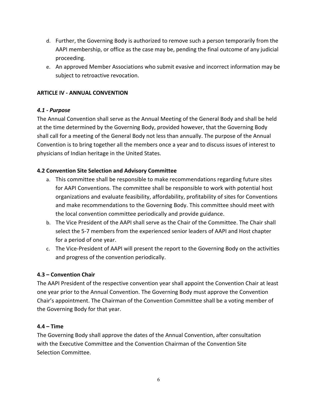- d. Further, the Governing Body is authorized to remove such a person temporarily from the AAPI membership, or office as the case may be, pending the final outcome of any judicial proceeding.
- e. An approved Member Associations who submit evasive and incorrect information may be subject to retroactive revocation.

# **ARTICLE IV - ANNUAL CONVENTION**

## *4.1 - Purpose*

The Annual Convention shall serve as the Annual Meeting of the General Body and shall be held at the time determined by the Governing Body, provided however, that the Governing Body shall call for a meeting of the General Body not less than annually. The purpose of the Annual Convention is to bring together all the members once a year and to discuss issues of interest to physicians of Indian heritage in the United States.

## **4.2 Convention Site Selection and Advisory Committee**

- a. This committee shall be responsible to make recommendations regarding future sites for AAPI Conventions. The committee shall be responsible to work with potential host organizations and evaluate feasibility, affordability, profitability of sites for Conventions and make recommendations to the Governing Body. This committee should meet with the local convention committee periodically and provide guidance.
- b. The Vice President of the AAPI shall serve as the Chair of the Committee. The Chair shall select the 5-7 members from the experienced senior leaders of AAPI and Host chapter for a period of one year.
- c. The Vice-President of AAPI will present the report to the Governing Body on the activities and progress of the convention periodically.

## **4.3 – Convention Chair**

The AAPI President of the respective convention year shall appoint the Convention Chair at least one year prior to the Annual Convention. The Governing Body must approve the Convention Chair's appointment. The Chairman of the Convention Committee shall be a voting member of the Governing Body for that year.

## **4.4 – Time**

The Governing Body shall approve the dates of the Annual Convention, after consultation with the Executive Committee and the Convention Chairman of the Convention Site Selection Committee.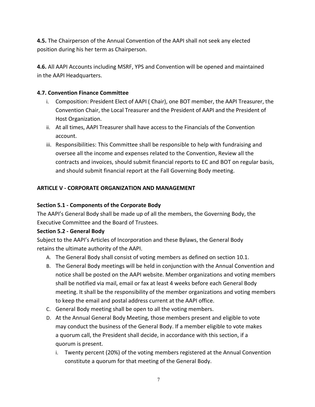**4.5.** The Chairperson of the Annual Convention of the AAPI shall not seek any elected position during his her term as Chairperson.

**4.6.** All AAPI Accounts including MSRF, YPS and Convention will be opened and maintained in the AAPI Headquarters.

# **4.7. Convention Finance Committee**

- i. Composition: President Elect of AAPI ( Chair), one BOT member, the AAPI Treasurer, the Convention Chair, the Local Treasurer and the President of AAPI and the President of Host Organization.
- ii. At all times, AAPI Treasurer shall have access to the Financials of the Convention account.
- iii. Responsibilities: This Committee shall be responsible to help with fundraising and oversee all the income and expenses related to the Convention, Review all the contracts and invoices, should submit financial reports to EC and BOT on regular basis, and should submit financial report at the Fall Governing Body meeting.

# **ARTICLE V - CORPORATE ORGANIZATION AND MANAGEMENT**

## **Section 5.1 - Components of the Corporate Body**

The AAPI's General Body shall be made up of all the members, the Governing Body, the Executive Committee and the Board of Trustees.

## **Section 5.2 - General Body**

Subject to the AAPI's Articles of Incorporation and these Bylaws, the General Body retains the ultimate authority of the AAPI.

- A. The General Body shall consist of voting members as defined on section 10.1.
- B. The General Body meetings will be held in conjunction with the Annual Convention and notice shall be posted on the AAPI website. Member organizations and voting members shall be notified via mail, email or fax at least 4 weeks before each General Body meeting. It shall be the responsibility of the member organizations and voting members to keep the email and postal address current at the AAPI office.
- C. General Body meeting shall be open to all the voting members.
- D. At the Annual General Body Meeting, those members present and eligible to vote may conduct the business of the General Body. If a member eligible to vote makes a quorum call, the President shall decide, in accordance with this section, if a quorum is present.
	- i. Twenty percent (20%) of the voting members registered at the Annual Convention constitute a quorum for that meeting of the General Body.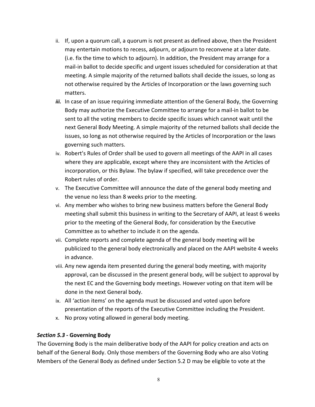- ii. If, upon a quorum call, a quorum is not present as defined above, then the President may entertain motions to recess, adjourn, or adjourn to reconvene at a later date. (i.e. fix the time to which to adjourn). In addition, the President may arrange for a mail-in ballot to decide specific and urgent issues scheduled for consideration at that meeting. A simple majority of the returned ballots shall decide the issues, so long as not otherwise required by the Articles of Incorporation or the laws governing such matters.
- iii. In case of an issue requiring immediate attention of the General Body, the Governing Body may authorize the Executive Committee to arrange for a mail-in ballot to be sent to all the voting members to decide specific issues which cannot wait until the next General Body Meeting. A simple majority of the returned ballots shall decide the issues, so long as not otherwise required by the Articles of Incorporation or the laws governing such matters.
- iv. Robert's Rules of Order shall be used to govern all meetings of the AAPI in all cases where they are applicable, except where they are inconsistent with the Articles of incorporation, or this Bylaw. The bylaw if specified, will take precedence over the Robert rules of order.
- v. The Executive Committee will announce the date of the general body meeting and the venue no less than 8 weeks prior to the meeting.
- vi. Any member who wishes to bring new business matters before the General Body meeting shall submit this business in writing to the Secretary of AAPI, at least 6 weeks prior to the meeting of the General Body, for consideration by the Executive Committee as to whether to include it on the agenda.
- vii. Complete reports and complete agenda of the general body meeting will be publicized to the general body electronically and placed on the AAPI website 4 weeks in advance.
- viii. Any new agenda item presented during the general body meeting, with majority approval, can be discussed in the present general body, will be subject to approval by the next EC and the Governing body meetings. However voting on that item will be done in the next General body.
- ix. All 'action items' on the agenda must be discussed and voted upon before presentation of the reports of the Executive Committee including the President.
- x. No proxy voting allowed in general body meeting.

## *Section 5.3* **- Governing Body**

The Governing Body is the main deliberative body of the AAPI for policy creation and acts on behalf of the General Body. Only those members of the Governing Body who are also Voting Members of the General Body as defined under Section 5.2 D may be eligible to vote at the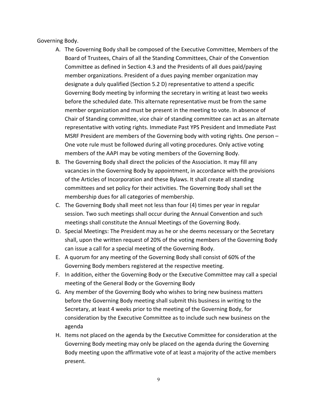Governing Body.

- A. The Governing Body shall be composed of the Executive Committee, Members of the Board of Trustees, Chairs of all the Standing Committees, Chair of the Convention Committee as defined in Section 4.3 and the Presidents of all dues paid/paying member organizations. President of a dues paying member organization may designate a duly qualified (Section 5.2 D) representative to attend a specific Governing Body meeting by informing the secretary in writing at least two weeks before the scheduled date. This alternate representative must be from the same member organization and must be present in the meeting to vote. In absence of Chair of Standing committee, vice chair of standing committee can act as an alternate representative with voting rights. Immediate Past YPS President and Immediate Past MSRF President are members of the Governing body with voting rights. One person – One vote rule must be followed during all voting procedures. Only active voting members of the AAPI may be voting members of the Governing Body.
- B. The Governing Body shall direct the policies of the Association. It may fill any vacancies in the Governing Body by appointment, in accordance with the provisions of the Articles of Incorporation and these Bylaws. It shall create all standing committees and set policy for their activities. The Governing Body shall set the membership dues for all categories of membership.
- C. The Governing Body shall meet not less than four (4) times per year in regular session. Two such meetings shall occur during the Annual Convention and such meetings shall constitute the Annual Meetings of the Governing Body.
- D. Special Meetings: The President may as he or she deems necessary or the Secretary shall, upon the written request of 20% of the voting members of the Governing Body can issue a call for a special meeting of the Governing Body.
- E. A quorum for any meeting of the Governing Body shall consist of 60% of the Governing Body members registered at the respective meeting.
- F. In addition, either the Governing Body or the Executive Committee may call a special meeting of the General Body or the Governing Body
- G. Any member of the Governing Body who wishes to bring new business matters before the Governing Body meeting shall submit this business in writing to the Secretary, at least 4 weeks prior to the meeting of the Governing Body, for consideration by the Executive Committee as to include such new business on the agenda
- H. Items not placed on the agenda by the Executive Committee for consideration at the Governing Body meeting may only be placed on the agenda during the Governing Body meeting upon the affirmative vote of at least a majority of the active members present.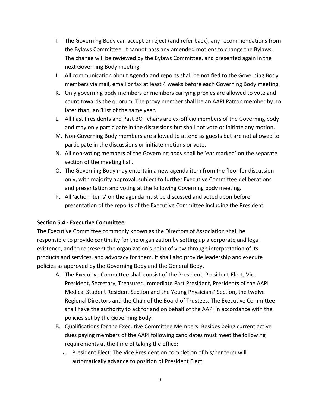- I. The Governing Body can accept or reject (and refer back), any recommendations from the Bylaws Committee. It cannot pass any amended motions to change the Bylaws. The change will be reviewed by the Bylaws Committee, and presented again in the next Governing Body meeting.
- J. All communication about Agenda and reports shall be notified to the Governing Body members via mail, email or fax at least 4 weeks before each Governing Body meeting.
- K. Only governing body members or members carrying proxies are allowed to vote and count towards the quorum. The proxy member shall be an AAPI Patron member by no later than Jan 31st of the same year.
- L. All Past Presidents and Past BOT chairs are ex-officio members of the Governing body and may only participate in the discussions but shall not vote or initiate any motion.
- M. Non-Governing Body members are allowed to attend as guests but are not allowed to participate in the discussions or initiate motions or vote.
- N. All non-voting members of the Governing body shall be 'ear marked' on the separate section of the meeting hall.
- O. The Governing Body may entertain a new agenda item from the floor for discussion only, with majority approval, subject to further Executive Committee deliberations and presentation and voting at the following Governing body meeting.
- P. All 'action items' on the agenda must be discussed and voted upon before presentation of the reports of the Executive Committee including the President

# **Section 5.4 - Executive Committee**

The Executive Committee commonly known as the Directors of Association shall be responsible to provide continuity for the organization by setting up a corporate and legal existence, and to represent the organization's point of view through interpretation of its products and services, and advocacy for them. It shall also provide leadership and execute policies as approved by the Governing Body and the General Body**.**

- A. The Executive Committee shall consist of the President, President-Elect, Vice President, Secretary, Treasurer, Immediate Past President, Presidents of the AAPI Medical Student Resident Section and the Young Physicians' Section, the twelve Regional Directors and the Chair of the Board of Trustees. The Executive Committee shall have the authority to act for and on behalf of the AAPI in accordance with the policies set by the Governing Body.
- B. Qualifications for the Executive Committee Members: Besides being current active dues paying members of the AAPI following candidates must meet the following requirements at the time of taking the office:
	- a. President Elect: The Vice President on completion of his/her term will automatically advance to position of President Elect.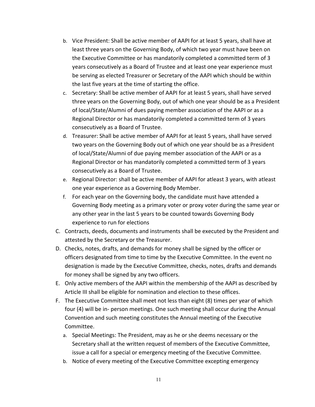- b. Vice President: Shall be active member of AAPI for at least 5 years, shall have at least three years on the Governing Body, of which two year must have been on the Executive Committee or has mandatorily completed a committed term of 3 years consecutively as a Board of Trustee and at least one year experience must be serving as elected Treasurer or Secretary of the AAPI which should be within the last five years at the time of starting the office.
- c. Secretary: Shall be active member of AAPI for at least 5 years, shall have served three years on the Governing Body, out of which one year should be as a President of local/State/Alumni of dues paying member association of the AAPI or as a Regional Director or has mandatorily completed a committed term of 3 years consecutively as a Board of Trustee.
- d. Treasurer: Shall be active member of AAPI for at least 5 years, shall have served two years on the Governing Body out of which one year should be as a President of local/State/Alumni of due paying member association of the AAPI or as a Regional Director or has mandatorily completed a committed term of 3 years consecutively as a Board of Trustee.
- e. Regional Director: shall be active member of AAPI for atleast 3 years, with atleast one year experience as a Governing Body Member.
- f. For each year on the Governing body, the candidate must have attended a Governing Body meeting as a primary voter or proxy voter during the same year or any other year in the last 5 years to be counted towards Governing Body experience to run for elections
- C. Contracts, deeds, documents and instruments shall be executed by the President and attested by the Secretary or the Treasurer.
- D. Checks, notes, drafts, and demands for money shall be signed by the officer or officers designated from time to time by the Executive Committee. In the event no designation is made by the Executive Committee, checks, notes, drafts and demands for money shall be signed by any two officers.
- E. Only active members of the AAPI within the membership of the AAPI as described by Article III shall be eligible for nomination and election to these offices.
- F. The Executive Committee shall meet not less than eight (8) times per year of which four (4) will be in- person meetings. One such meeting shall occur during the Annual Convention and such meeting constitutes the Annual meeting of the Executive Committee.
	- a. Special Meetings: The President, may as he or she deems necessary or the Secretary shall at the written request of members of the Executive Committee, issue a call for a special or emergency meeting of the Executive Committee.
	- b. Notice of every meeting of the Executive Committee excepting emergency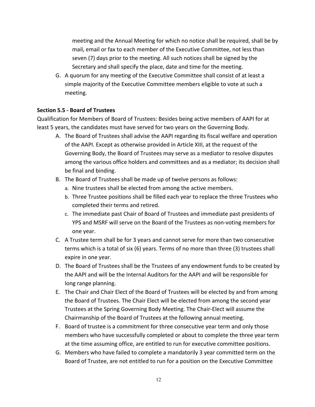meeting and the Annual Meeting for which no notice shall be required, shall be by mail, email or fax to each member of the Executive Committee, not less than seven (7) days prior to the meeting. All such notices shall be signed by the Secretary and shall specify the place, date and time for the meeting.

G. A quorum for any meeting of the Executive Committee shall consist of at least a simple majority of the Executive Committee members eligible to vote at such a meeting.

#### **Section 5.5 - Board of Trustees**

Qualification for Members of Board of Trustees: Besides being active members of AAPI for at least 5 years, the candidates must have served for two years on the Governing Body.

- A. The Board of Trustees shall advise the AAPI regarding its fiscal welfare and operation of the AAPI. Except as otherwise provided in Article XIII, at the request of the Governing Body, the Board of Trustees may serve as a mediator to resolve disputes among the various office holders and committees and as a mediator; its decision shall be final and binding.
- B. The Board of Trustees shall be made up of twelve persons as follows:
	- a. Nine trustees shall be elected from among the active members.
	- b. Three Trustee positions shall be filled each year to replace the three Trustees who completed their terms and retired.
	- c. The immediate past Chair of Board of Trustees and immediate past presidents of YPS and MSRF will serve on the Board of the Trustees as non-voting members for one year.
- C. A Trustee term shall be for 3 years and cannot serve for more than two consecutive terms which is a total of six (6) years. Terms of no more than three (3) trustees shall expire in one year.
- D. The Board of Trustees shall be the Trustees of any endowment funds to be created by the AAPI and will be the Internal Auditors for the AAPI and will be responsible for long range planning.
- E. The Chair and Chair Elect of the Board of Trustees will be elected by and from among the Board of Trustees. The Chair Elect will be elected from among the second year Trustees at the Spring Governing Body Meeting. The Chair-Elect will assume the Chairmanship of the Board of Trustees at the following annual meeting.
- F. Board of trustee is a commitment for three consecutive year term and only those members who have successfully completed or about to complete the three year term at the time assuming office, are entitled to run for executive committee positions.
- G. Members who have failed to complete a mandatorily 3 year committed term on the Board of Trustee, are not entitled to run for a position on the Executive Committee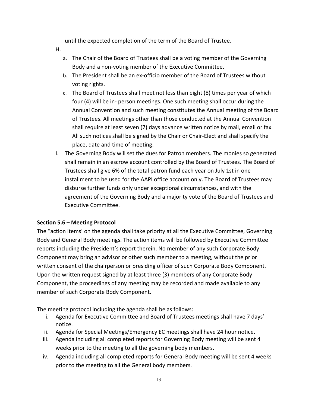until the expected completion of the term of the Board of Trustee.

- H.
	- a. The Chair of the Board of Trustees shall be a voting member of the Governing Body and a non-voting member of the Executive Committee.
	- b. The President shall be an ex-officio member of the Board of Trustees without voting rights.
	- c. The Board of Trustees shall meet not less than eight (8) times per year of which four (4) will be in- person meetings. One such meeting shall occur during the Annual Convention and such meeting constitutes the Annual meeting of the Board of Trustees. All meetings other than those conducted at the Annual Convention shall require at least seven (7) days advance written notice by mail, email or fax. All such notices shall be signed by the Chair or Chair-Elect and shall specify the place, date and time of meeting.
- I. The Governing Body will set the dues for Patron members. The monies so generated shall remain in an escrow account controlled by the Board of Trustees. The Board of Trustees shall give 6% of the total patron fund each year on July 1st in one installment to be used for the AAPI office account only. The Board of Trustees may disburse further funds only under exceptional circumstances, and with the agreement of the Governing Body and a majority vote of the Board of Trustees and Executive Committee.

## **Section 5.6 – Meeting Protocol**

The "action items' on the agenda shall take priority at all the Executive Committee, Governing Body and General Body meetings. The action items will be followed by Executive Committee reports including the President's report therein. No member of any such Corporate Body Component may bring an advisor or other such member to a meeting, without the prior written consent of the chairperson or presiding officer of such Corporate Body Component. Upon the written request signed by at least three (3) members of any Corporate Body Component, the proceedings of any meeting may be recorded and made available to any member of such Corporate Body Component.

The meeting protocol including the agenda shall be as follows:

- i. Agenda for Executive Committee and Board of Trustees meetings shall have 7 days' notice.
- ii. Agenda for Special Meetings/Emergency EC meetings shall have 24 hour notice.
- iii. Agenda including all completed reports for Governing Body meeting will be sent 4 weeks prior to the meeting to all the governing body members.
- iv. Agenda including all completed reports for General Body meeting will be sent 4 weeks prior to the meeting to all the General body members.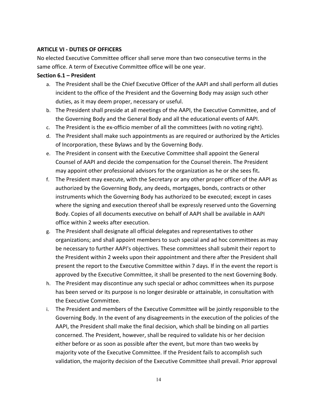#### **ARTICLE VI - DUTIES OF OFFICERS**

No elected Executive Committee officer shall serve more than two consecutive terms in the same office. A term of Executive Committee office will be one year.

#### **Section 6.1 – President**

- a. The President shall be the Chief Executive Officer of the AAPI and shall perform all duties incident to the office of the President and the Governing Body may assign such other duties, as it may deem proper, necessary or useful.
- b. The President shall preside at all meetings of the AAPI, the Executive Committee, and of the Governing Body and the General Body and all the educational events of AAPI.
- c. The President is the ex-officio member of all the committees (with no voting right).
- d. The President shall make such appointments as are required or authorized by the Articles of Incorporation, these Bylaws and by the Governing Body.
- e. The President in consent with the Executive Committee shall appoint the General Counsel of AAPI and decide the compensation for the Counsel therein. The President may appoint other professional advisors for the organization as he or she sees fit**.**
- f. The President may execute, with the Secretary or any other proper officer of the AAPI as authorized by the Governing Body, any deeds, mortgages, bonds, contracts or other instruments which the Governing Body has authorized to be executed; except in cases where the signing and execution thereof shall be expressly reserved unto the Governing Body. Copies of all documents executive on behalf of AAPI shall be available in AAPI office within 2 weeks after execution.
- g. The President shall designate all official delegates and representatives to other organizations; and shall appoint members to such special and ad hoc committees as may be necessary to further AAPI's objectives. These committees shall submit their report to the President within 2 weeks upon their appointment and there after the President shall present the report to the Executive Committee within 7 days. If in the event the report is approved by the Executive Committee, it shall be presented to the next Governing Body.
- h. The President may discontinue any such special or adhoc committees when its purpose has been served or its purpose is no longer desirable or attainable, in consultation with the Executive Committee.
- i. The President and members of the Executive Committee will be jointly responsible to the Governing Body. In the event of any disagreements in the execution of the policies of the AAPI, the President shall make the final decision, which shall be binding on all parties concerned. The President, however, shall be required to validate his or her decision either before or as soon as possible after the event, but more than two weeks by majority vote of the Executive Committee. If the President fails to accomplish such validation, the majority decision of the Executive Committee shall prevail. Prior approval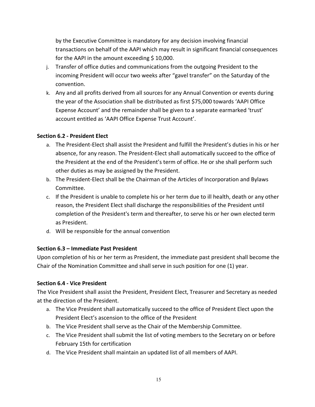by the Executive Committee is mandatory for any decision involving financial transactions on behalf of the AAPI which may result in significant financial consequences for the AAPI in the amount exceeding  $$10,000$ .

- j. Transfer of office duties and communications from the outgoing President to the incoming President will occur two weeks after "gavel transfer" on the Saturday of the convention.
- k. Any and all profits derived from all sources for any Annual Convention or events during the year of the Association shall be distributed as first \$75,000 towards 'AAPI Office Expense Account' and the remainder shall be given to a separate earmarked 'trust' account entitled as 'AAPI Office Expense Trust Account'.

## **Section 6.2 - President Elect**

- a. The President-Elect shall assist the President and fulfill the President's duties in his or her absence, for any reason. The President-Elect shall automatically succeed to the office of the President at the end of the President's term of office. He or she shall perform such other duties as may be assigned by the President.
- b. The President-Elect shall be the Chairman of the Articles of Incorporation and Bylaws Committee.
- c. If the President is unable to complete his or her term due to ill health, death or any other reason, the President Elect shall discharge the responsibilities of the President until completion of the President's term and thereafter, to serve his or her own elected term as President.
- d. Will be responsible for the annual convention

# **Section 6.3 – Immediate Past President**

Upon completion of his or her term as President, the immediate past president shall become the Chair of the Nomination Committee and shall serve in such position for one (1) year.

## **Section 6.4 - Vice President**

The Vice President shall assist the President, President Elect, Treasurer and Secretary as needed at the direction of the President.

- a. The Vice President shall automatically succeed to the office of President Elect upon the President Elect's ascension to the office of the President
- b. The Vice President shall serve as the Chair of the Membership Committee.
- c. The Vice President shall submit the list of voting members to the Secretary on or before February 15th for certification
- d. The Vice President shall maintain an updated list of all members of AAPI.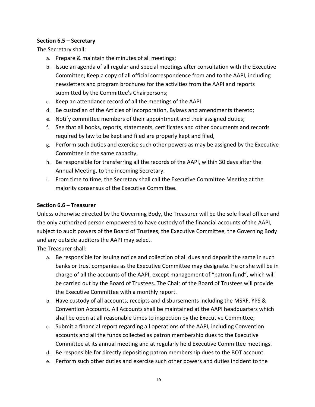#### **Section 6.5 – Secretary**

The Secretary shall:

- a. Prepare & maintain the minutes of all meetings;
- b. Issue an agenda of all regular and special meetings after consultation with the Executive Committee; Keep a copy of all official correspondence from and to the AAPI, including newsletters and program brochures for the activities from the AAPI and reports submitted by the Committee's Chairpersons;
- c. Keep an attendance record of all the meetings of the AAPI
- d. Be custodian of the Articles of Incorporation, Bylaws and amendments thereto;
- e. Notify committee members of their appointment and their assigned duties;
- f. See that all books, reports, statements, certificates and other documents and records required by law to be kept and filed are properly kept and filed,
- g. Perform such duties and exercise such other powers as may be assigned by the Executive Committee in the same capacity,
- h. Be responsible for transferring all the records of the AAPI, within 30 days after the Annual Meeting, to the incoming Secretary.
- i. From time to time, the Secretary shall call the Executive Committee Meeting at the majority consensus of the Executive Committee.

#### **Section 6.6 – Treasurer**

Unless otherwise directed by the Governing Body, the Treasurer will be the sole fiscal officer and the only authorized person empowered to have custody of the financial accounts of the AAPI, subject to audit powers of the Board of Trustees, the Executive Committee, the Governing Body and any outside auditors the AAPI may select.

The Treasurer shall:

- a. Be responsible for issuing notice and collection of all dues and deposit the same in such banks or trust companies as the Executive Committee may designate. He or she will be in charge of all the accounts of the AAPI, except management of "patron fund", which will be carried out by the Board of Trustees. The Chair of the Board of Trustees will provide the Executive Committee with a monthly report.
- b. Have custody of all accounts, receipts and disbursements including the MSRF, YPS & Convention Accounts. All Accounts shall be maintained at the AAPI headquarters which shall be open at all reasonable times to inspection by the Executive Committee;
- c. Submit a financial report regarding all operations of the AAPI, including Convention accounts and all the funds collected as patron membership dues to the Executive Committee at its annual meeting and at regularly held Executive Committee meetings.
- d. Be responsible for directly depositing patron membership dues to the BOT account.
- e. Perform such other duties and exercise such other powers and duties incident to the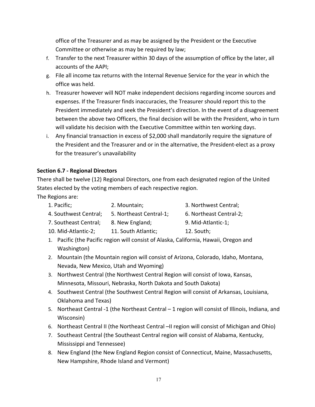office of the Treasurer and as may be assigned by the President or the Executive Committee or otherwise as may be required by law;

- f. Transfer to the next Treasurer within 30 days of the assumption of office by the later, all accounts of the AAPI;
- g. File all income tax returns with the Internal Revenue Service for the year in which the office was held.
- h. Treasurer however will NOT make independent decisions regarding income sources and expenses. If the Treasurer finds inaccuracies, the Treasurer should report this to the President immediately and seek the President's direction. In the event of a disagreement between the above two Officers, the final decision will be with the President, who in turn will validate his decision with the Executive Committee within ten working days.
- i. Any financial transaction in excess of \$2,000 shall mandatorily require the signature of the President and the Treasurer and or in the alternative, the President-elect as a proxy for the treasurer's unavailability

# **Section 6.7 - Regional Directors**

There shall be twelve (12) Regional Directors, one from each designated region of the United States elected by the voting members of each respective region.

The Regions are:

- 1. Pacific; 2. Mountain; 3. Northwest Central;
- 
- 4. Southwest Central; 5. Northeast Central-1; 6. Northeast Central-2;
- 7. Southeast Central; 8. New England; 9. Mid-Atlantic-1;
- 10. Mid-Atlantic-2; 11. South Atlantic; 12. South;
- 1. Pacific (the Pacific region will consist of Alaska, California, Hawaii, Oregon and Washington)
- 2. Mountain (the Mountain region will consist of Arizona, Colorado, Idaho, Montana, Nevada, New Mexico, Utah and Wyoming)
- 3. Northwest Central (the Northwest Central Region will consist of Iowa, Kansas, Minnesota, Missouri, Nebraska, North Dakota and South Dakota)
- 4. Southwest Central (the Southwest Central Region will consist of Arkansas, Louisiana, Oklahoma and Texas)
- 5. Northeast Central -1 (the Northeast Central 1 region will consist of Illinois, Indiana, and Wisconsin)
- 6. Northeast Central II (the Northeast Central –II region will consist of Michigan and Ohio)
- 7. Southeast Central (the Southeast Central region will consist of Alabama, Kentucky, Mississippi and Tennessee)
- 8. New England (the New England Region consist of Connecticut, Maine, Massachusetts, New Hampshire, Rhode Island and Vermont)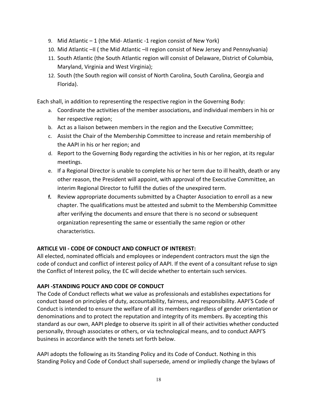- 9. Mid Atlantic 1 (the Mid- Atlantic -1 region consist of New York)
- 10. Mid Atlantic –II ( the Mid Atlantic –II region consist of New Jersey and Pennsylvania)
- 11. South Atlantic (the South Atlantic region will consist of Delaware, District of Columbia, Maryland, Virginia and West Virginia);
- 12. South (the South region will consist of North Carolina, South Carolina, Georgia and Florida).

Each shall, in addition to representing the respective region in the Governing Body:

- a. Coordinate the activities of the member associations, and individual members in his or her respective region;
- b. Act as a liaison between members in the region and the Executive Committee;
- c. Assist the Chair of the Membership Committee to increase and retain membership of the AAPI in his or her region; and
- d. Report to the Governing Body regarding the activities in his or her region, at its regular meetings.
- e. If a Regional Director is unable to complete his or her term due to ill health, death or any other reason, the President will appoint, with approval of the Executive Committee, an interim Regional Director to fulfill the duties of the unexpired term.
- **f.** Review appropriate documents submitted by a Chapter Association to enroll as a new chapter. The qualifications must be attested and submit to the Membership Committee after verifying the documents and ensure that there is no second or subsequent organization representing the same or essentially the same region or other characteristics.

# **ARTICLE VII - CODE OF CONDUCT AND CONFLICT OF INTEREST:**

All elected, nominated officials and employees or independent contractors must the sign the code of conduct and conflict of interest policy of AAPI. If the event of a consultant refuse to sign the Conflict of Interest policy, the EC will decide whether to entertain such services.

# **AAPI -STANDING POLICY AND CODE OF CONDUCT**

The Code of Conduct reflects what we value as professionals and establishes expectations for conduct based on principles of duty, accountability, fairness, and responsibility. AAPI'S Code of Conduct is intended to ensure the welfare of all its members regardless of gender orientation or denominations and to protect the reputation and integrity of its members. By accepting this standard as our own, AAPI pledge to observe its spirit in all of their activities whether conducted personally, through associates or others, or via technological means, and to conduct AAPI'S business in accordance with the tenets set forth below.

AAPI adopts the following as its Standing Policy and its Code of Conduct. Nothing in this Standing Policy and Code of Conduct shall supersede, amend or impliedly change the bylaws of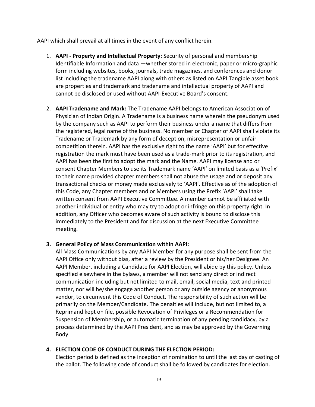AAPI which shall prevail at all times in the event of any conflict herein.

- 1. **AAPI - Property and Intellectual Property:** Security of personal and membership Identifiable Information and data —whether stored in electronic, paper or micro-graphic form including websites, books, journals, trade magazines, and conferences and donor list including the tradename AAPI along with others as listed on AAPI Tangible asset book are properties and trademark and tradename and intellectual property of AAPI and cannot be disclosed or used without AAPI-Executive Board's consent.
- 2. **AAPI Tradename and Mark:** The Tradename AAPI belongs to American Association of Physician of Indian Origin. A Tradename is a business name wherein the pseudonym used by the company such as AAPI to perform their business under a name that differs from the registered, legal name of the business. No member or Chapter of AAPI shall violate its Tradename or Trademark by any form of deception, misrepresentation or unfair competition therein. AAPI has the exclusive right to the name 'AAPI' but for effective registration the mark must have been used as a trade-mark prior to its registration, and AAPI has been the first to adopt the mark and the Name. AAPI may license and or consent Chapter Members to use its Trademark name 'AAPI' on limited basis as a 'Prefix' to their name provided chapter members shall not abuse the usage and or deposit any transactional checks or money made exclusively to 'AAPI'. Effective as of the adoption of this Code, any Chapter members and or Members using the Prefix 'AAPI' shall take written consent from AAPI Executive Committee. A member cannot be affiliated with another individual or entity who may try to adopt or infringe on this property right. In addition, any Officer who becomes aware of such activity is bound to disclose this immediately to the President and for discussion at the next Executive Committee meeting.

## **3. General Policy of Mass Communication within AAPI:**

All Mass Communications by any AAPI Member for any purpose shall be sent from the AAPI Office only without bias, after a review by the President or his/her Designee. An AAPI Member, including a Candidate for AAPI Election, will abide by this policy. Unless specified elsewhere in the bylaws, a member will not send any direct or indirect communication including but not limited to mail, email, social media, text and printed matter, nor will he/she engage another person or any outside agency or anonymous vendor, to circumvent this Code of Conduct. The responsibility of such action will be primarily on the Member/Candidate. The penalties will include, but not limited to, a Reprimand kept on file, possible Revocation of Privileges or a Recommendation for Suspension of Membership, or automatic termination of any pending candidacy, by a process determined by the AAPI President, and as may be approved by the Governing Body.

## **4. ELECTION CODE OF CONDUCT DURING THE ELECTION PERIOD:**

Election period is defined as the inception of nomination to until the last day of casting of the ballot. The following code of conduct shall be followed by candidates for election.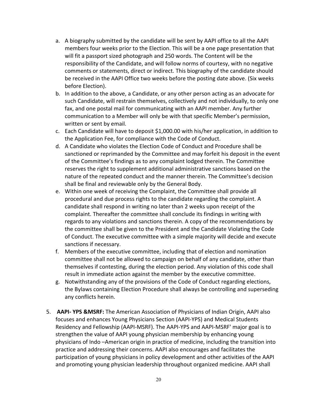- a. A biography submitted by the candidate will be sent by AAPI office to all the AAPI members four weeks prior to the Election. This will be a one page presentation that will fit a passport sized photograph and 250 words. The Content will be the responsibility of the Candidate, and will follow norms of courtesy, with no negative comments or statements, direct or indirect. This biography of the candidate should be received in the AAPI Office two weeks before the posting date above. (Six weeks before Election).
- b. In addition to the above, a Candidate, or any other person acting as an advocate for such Candidate, will restrain themselves, collectively and not individually, to only one fax, and one postal mail for communicating with an AAPI member. Any further communication to a Member will only be with that specific Member's permission, written or sent by email.
- c. Each Candidate will have to deposit \$1,000.00 with his/her application, in addition to the Application Fee, for compliance with the Code of Conduct.
- d. A Candidate who violates the Election Code of Conduct and Procedure shall be sanctioned or reprimanded by the Committee and may forfeit his deposit in the event of the Committee's findings as to any complaint lodged therein. The Committee reserves the right to supplement additional administrative sanctions based on the nature of the repeated conduct and the manner therein. The Committee's decision shall be final and reviewable only by the General Body.
- e. Within one week of receiving the Complaint, the Committee shall provide all procedural and due process rights to the candidate regarding the complaint. A candidate shall respond in writing no later than 2 weeks upon receipt of the complaint. Thereafter the committee shall conclude its findings in writing with regards to any violations and sanctions therein. A copy of the recommendations by the committee shall be given to the President and the Candidate Violating the Code of Conduct. The executive committee with a simple majority will decide and execute sanctions if necessary.
- f. Members of the executive committee, including that of election and nomination committee shall not be allowed to campaign on behalf of any candidate, other than themselves if contesting, during the election period. Any violation of this code shall result in immediate action against the member by the executive committee.
- g. Notwithstanding any of the provisions of the Code of Conduct regarding elections, the Bylaws containing Election Procedure shall always be controlling and superseding any conflicts herein.
- 5. **AAPI- YPS &MSRF:** The American Association of Physicians of Indian Origin, AAPI also focuses and enhances Young Physicians Section (AAPI-YPS) and Medical Students Residency and Fellowship (AAPI-MSRF). The AAPI-YPS and AAPI-MSRF' major goal is to strengthen the value of AAPI young physician membership by enhancing young physicians of Indo –American origin in practice of medicine, including the transition into practice and addressing their concerns. AAPI also encourages and facilitates the participation of young physicians in policy development and other activities of the AAPI and promoting young physician leadership throughout organized medicine. AAPI shall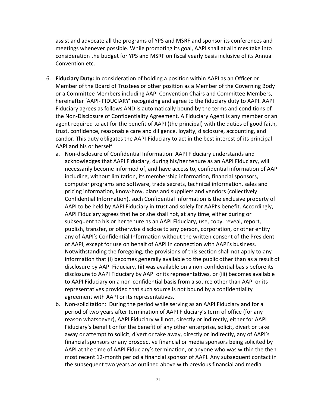assist and advocate all the programs of YPS and MSRF and sponsor its conferences and meetings whenever possible. While promoting its goal, AAPI shall at all times take into consideration the budget for YPS and MSRF on fiscal yearly basis inclusive of its Annual Convention etc.

- 6. **Fiduciary Duty:** In consideration of holding a position within AAPI as an Officer or Member of the Board of Trustees or other position as a Member of the Governing Body or a Committee Members including AAPI Convention Chairs and Committee Members, hereinafter 'AAPI- FIDUCIARY' recognizing and agree to the fiduciary duty to AAPI. AAPI Fiduciary agrees as follows AND is automatically bound by the terms and conditions of the Non-Disclosure of Confidentiality Agreement. A Fiduciary Agent is any member or an agent required to act for the benefit of AAPI (the principal) with the duties of good faith, trust, confidence, reasonable care and diligence, loyalty, disclosure, accounting, and candor. This duty obligates the AAPI-Fiduciary to act in the best interest of its principal AAPI and his or herself.
	- a. Non-disclosure of Confidential Information: AAPI Fiduciary understands and acknowledges that AAPI Fiduciary, during his/her tenure as an AAPI Fiduciary, will necessarily become informed of, and have access to, confidential information of AAPI including, without limitation, its membership information, financial sponsors, computer programs and software, trade secrets, technical information, sales and pricing information, know-how, plans and suppliers and vendors (collectively Confidential Information), such Confidential Information is the exclusive property of AAPI to be held by AAPI Fiduciary in trust and solely for AAPI's benefit. Accordingly, AAPI Fiduciary agrees that he or she shall not, at any time, either during or subsequent to his or her tenure as an AAPI Fiduciary, use, copy, reveal, report, publish, transfer, or otherwise disclose to any person, corporation, or other entity any of AAPI's Confidential Information without the written consent of the President of AAPI, except for use on behalf of AAPI in connection with AAPI's business. Notwithstanding the foregoing, the provisions of this section shall not apply to any information that (i) becomes generally available to the public other than as a result of disclosure by AAPI Fiduciary, (ii) was available on a non-confidential basis before its disclosure to AAPI Fiduciary by AAPI or its representatives, or (iii) becomes available to AAPI Fiduciary on a non-confidential basis from a source other than AAPI or its representatives provided that such source is not bound by a confidentiality agreement with AAPI or its representatives.
	- b. Non-solicitation: During the period while serving as an AAPI Fiduciary and for a period of two years after termination of AAPI Fiduciary's term of office (for any reason whatsoever), AAPI Fiduciary will not, directly or indirectly, either for AAPI Fiduciary's benefit or for the benefit of any other enterprise, solicit, divert or take away or attempt to solicit, divert or take away, directly or indirectly, any of AAPI's financial sponsors or any prospective financial or media sponsors being solicited by AAPI at the time of AAPI Fiduciary's termination, or anyone who was within the then most recent 12-month period a financial sponsor of AAPI. Any subsequent contact in the subsequent two years as outlined above with previous financial and media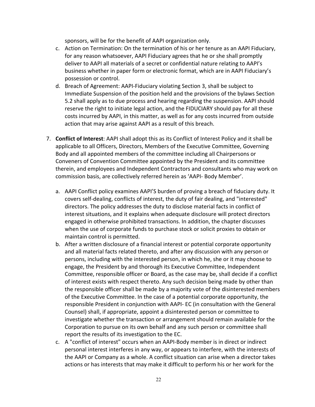sponsors, will be for the benefit of AAPI organization only.

- c. Action on Termination: On the termination of his or her tenure as an AAPI Fiduciary, for any reason whatsoever, AAPI Fiduciary agrees that he or she shall promptly deliver to AAPI all materials of a secret or confidential nature relating to AAPI's business whether in paper form or electronic format, which are in AAPI Fiduciary's possession or control.
- d. Breach of Agreement: AAPI-Fiduciary violating Section 3, shall be subject to Immediate Suspension of the position held and the provisions of the bylaws Section 5.2 shall apply as to due process and hearing regarding the suspension. AAPI should reserve the right to initiate legal action, and the FIDUCIARY should pay for all these costs incurred by AAPI, in this matter, as well as for any costs incurred from outside action that may arise against AAPI as a result of this breach.
- 7. **Conflict of Interest**: AAPI shall adopt this as its Conflict of Interest Policy and it shall be applicable to all Officers, Directors, Members of the Executive Committee, Governing Body and all appointed members of the committee including all Chairpersons or Conveners of Convention Committee appointed by the President and its committee therein, and employees and Independent Contractors and consultants who may work on commission basis, are collectively referred herein as 'AAPI- Body Member'.
	- a. AAPI Conflict policy examines AAPI'S burden of proving a breach of fiduciary duty. It covers self-dealing, conflicts of interest, the duty of fair dealing, and "interested" directors. The policy addresses the duty to disclose material facts in conflict of interest situations, and it explains when adequate disclosure will protect directors engaged in otherwise prohibited transactions. In addition, the chapter discusses when the use of corporate funds to purchase stock or solicit proxies to obtain or maintain control is permitted.
	- b. After a written disclosure of a financial interest or potential corporate opportunity and all material facts related thereto, and after any discussion with any person or persons, including with the interested person, in which he, she or it may choose to engage, the President by and thorough its Executive Committee, Independent Committee, responsible officer or Board, as the case may be, shall decide if a conflict of interest exists with respect thereto. Any such decision being made by other than the responsible officer shall be made by a majority vote of the disinterested members of the Executive Committee. In the case of a potential corporate opportunity, the responsible President in conjunction with AAPI- EC (in consultation with the General Counsel) shall, if appropriate, appoint a disinterested person or committee to investigate whether the transaction or arrangement should remain available for the Corporation to pursue on its own behalf and any such person or committee shall report the results of its investigation to the EC.
	- c. A "conflict of interest" occurs when an AAPI-Body member is in direct or indirect personal interest interferes in any way, or appears to interfere, with the interests of the AAPI or Company as a whole. A conflict situation can arise when a director takes actions or has interests that may make it difficult to perform his or her work for the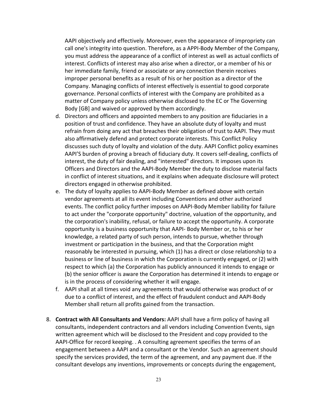AAPI objectively and effectively. Moreover, even the appearance of impropriety can call one's integrity into question. Therefore, as a APPI-Body Member of the Company, you must address the appearance of a conflict of interest as well as actual conflicts of interest. Conflicts of interest may also arise when a director, or a member of his or her immediate family, friend or associate or any connection therein receives improper personal benefits as a result of his or her position as a director of the Company. Managing conflicts of interest effectively is essential to good corporate governance. Personal conflicts of interest with the Company are prohibited as a matter of Company policy unless otherwise disclosed to the EC or The Governing Body [GB] and waived or approved by them accordingly.

- d. Directors and officers and appointed members to any position are fiduciaries in a position of trust and confidence. They have an absolute duty of loyalty and must refrain from doing any act that breaches their obligation of trust to AAPI. They must also affirmatively defend and protect corporate interests. This Conflict Policy discusses such duty of loyalty and violation of the duty. AAPI Conflict policy examines AAPI'S burden of proving a breach of fiduciary duty. It covers self-dealing, conflicts of interest, the duty of fair dealing, and "interested" directors. It imposes upon its Officers and Directors and the AAPI-Body Member the duty to disclose material facts in conflict of interest situations, and it explains when adequate disclosure will protect directors engaged in otherwise prohibited.
- e. The duty of loyalty applies to AAPI-Body Member as defined above with certain vendor agreements at all its event including Conventions and other authorized events. The conflict policy further imposes on AAPI-Body Member liability for failure to act under the "corporate opportunity" doctrine, valuation of the opportunity, and the corporation's inability, refusal, or failure to accept the opportunity. A corporate opportunity is a business opportunity that AAPI- Body Member or, to his or her knowledge, a related party of such person, intends to pursue, whether through investment or participation in the business, and that the Corporation might reasonably be interested in pursuing, which (1) has a direct or close relationship to a business or line of business in which the Corporation is currently engaged, or (2) with respect to which (a) the Corporation has publicly announced it intends to engage or (b) the senior officer is aware the Corporation has determined it intends to engage or is in the process of considering whether it will engage.
- f. AAPI shall at all times void any agreements that would otherwise was product of or due to a conflict of interest, and the effect of fraudulent conduct and AAPI-Body Member shall return all profits gained from the transaction.
- 8. **Contract with All Consultants and Vendors:** AAPI shall have a firm policy of having all consultants, independent contractors and all vendors including Convention Events, sign written agreement which will be disclosed to the President and copy provided to the AAPI-Office for record keeping. . A consulting agreement specifies the terms of an engagement between a AAPI and a consultant or the Vendor. Such an agreement should specify the services provided, the term of the agreement, and any payment due. If the consultant develops any inventions, improvements or concepts during the engagement,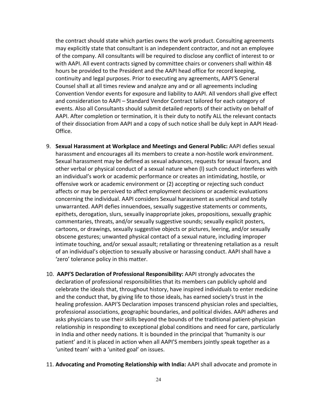the contract should state which parties owns the work product. Consulting agreements may explicitly state that consultant is an independent contractor, and not an employee of the company. All consultants will be required to disclose any conflict of interest to or with AAPI. All event contracts signed by committee chairs or conveners shall within 48 hours be provided to the President and the AAPI head office for record keeping, continuity and legal purposes. Prior to executing any agreements, AAPI'S General Counsel shall at all times review and analyze any and or all agreements including Convention Vendor events for exposure and liability to AAPI. All vendors shall give effect and consideration to AAPI – Standard Vendor Contract tailored for each category of events. Also all Consultants should submit detailed reports of their activity on behalf of AAPI. After completion or termination, it is their duty to notify ALL the relevant contacts of their dissociation from AAPI and a copy of such notice shall be duly kept in AAPI Head-Office.

- 9. **Sexual Harassment at Workplace and Meetings and General Public:** AAPI defies sexual harassment and encourages all its members to create a non-hostile work environment. Sexual harassment may be defined as sexual advances, requests for sexual favors, and other verbal or physical conduct of a sexual nature when (l) such conduct interferes with an individual's work or academic performance or creates an intimidating, hostile, or offensive work or academic environment or (2) accepting or rejecting such conduct affects or may be perceived to affect employment decisions or academic evaluations concerning the individual. AAPI considers Sexual harassment as unethical and totally unwarranted. AAPI defies innuendoes, sexually suggestive statements or comments, epithets, derogation, slurs, sexually inappropriate jokes, propositions, sexually graphic commentaries, threats, and/or sexually suggestive sounds; sexually explicit posters, cartoons, or drawings, sexually suggestive objects or pictures, leering, and/or sexually obscene gestures; unwanted physical contact of a sexual nature, including improper intimate touching, and/or sexual assault; retaliating or threatening retaliation as a result of an individual's objection to sexually abusive or harassing conduct. AAPI shall have a 'zero' tolerance policy in this matter.
- 10. **AAPI'S Declaration of Professional Responsibility:** AAPI strongly advocates the declaration of professional responsibilities that its members can publicly uphold and celebrate the ideals that, throughout history, have inspired individuals to enter medicine and the conduct that, by giving life to those ideals, has earned society's trust in the healing profession. AAPI'S Declaration imposes transcend physician roles and specialties, professional associations, geographic boundaries, and political divides. AAPI adheres and asks physicians to use their skills beyond the bounds of the traditional patient-physician relationship in responding to exceptional global conditions and need for care, particularly in India and other needy nations. It is bounded in the principal that 'humanity is our patient' and it is placed in action when all AAPI'S members jointly speak together as a 'united team' with a 'united goal' on issues.
- 11. **Advocating and Promoting Relationship with India:** AAPI shall advocate and promote in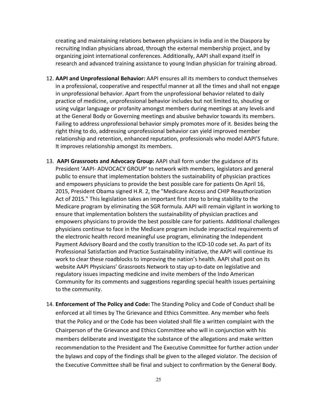creating and maintaining relations between physicians in India and in the Diaspora by recruiting Indian physicians abroad, through the external membership project, and by organizing joint international conferences. Additionally, AAPI shall expand itself in research and advanced training assistance to young Indian physician for training abroad.

- 12. **AAPI and Unprofessional Behavior:** AAPI ensures all its members to conduct themselves in a professional, cooperative and respectful manner at all the times and shall not engage in unprofessional behavior. Apart from the unprofessional behavior related to daily practice of medicine, unprofessional behavior includes but not limited to, shouting or using vulgar language or profanity amongst members during meetings at any levels and at the General Body or Governing meetings and abusive behavior towards its members. Failing to address unprofessional behavior simply promotes more of it. Besides being the right thing to do, addressing unprofessional behavior can yield improved member relationship and retention, enhanced reputation, professionals who model AAPI'S future. It improves relationship amongst its members.
- 13. **AAPI Grassroots and Advocacy Group:** AAPI shall form under the guidance of its President 'AAPI- ADVOCACY GROUP' to network with members, legislators and general public to ensure that implementation bolsters the sustainability of physician practices and empowers physicians to provide the best possible care for patients On April 16, 2015, President Obama signed H.R. 2, the "Medicare Access and CHIP Reauthorization Act of 2015." This legislation takes an important first step to bring stability to the Medicare program by eliminating the SGR formula. AAPI will remain vigilant in working to ensure that implementation bolsters the sustainability of physician practices and empowers physicians to provide the best possible care for patients. Additional challenges physicians continue to face in the Medicare program include impractical requirements of the electronic health record meaningful use program, eliminating the Independent Payment Advisory Board and the costly transition to the ICD-10 code set. As part of its Professional Satisfaction and Practice Sustainability initiative, the AAPI will continue its work to clear these roadblocks to improving the nation's health. AAPI shall post on its website AAPI Physicians' Grassroots Network to stay up-to-date on legislative and regulatory issues impacting medicine and invite members of the Indo American Community for its comments and suggestions regarding special health issues pertaining to the community.
- 14. **Enforcement of The Policy and Code:** The Standing Policy and Code of Conduct shall be enforced at all times by The Grievance and Ethics Committee. Any member who feels that the Policy and or the Code has been violated shall file a written complaint with the Chairperson of the Grievance and Ethics Committee who will in conjunction with his members deliberate and investigate the substance of the allegations and make written recommendation to the President and The Executive Committee for further action under the bylaws and copy of the findings shall be given to the alleged violator. The decision of the Executive Committee shall be final and subject to confirmation by the General Body.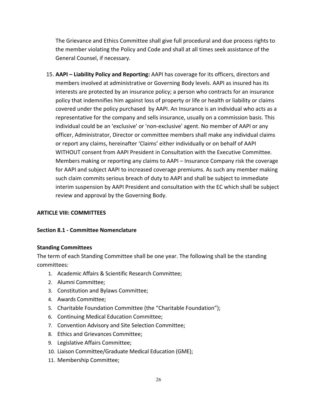The Grievance and Ethics Committee shall give full procedural and due process rights to the member violating the Policy and Code and shall at all times seek assistance of the General Counsel, if necessary.

15. **AAPI – Liability Policy and Reporting:** AAPI has coverage for its officers, directors and members involved at administrative or Governing Body levels. AAPI as insured has its interests are protected by an insurance policy; a person who contracts for an insurance policy that indemnifies him against loss of property or life or health or liability or claims covered under the policy purchased by AAPI. An Insurance is an individual who acts as a representative for the company and sells insurance, usually on a commission basis. This individual could be an 'exclusive' or 'non-exclusive' agent. No member of AAPI or any officer, Administrator, Director or committee members shall make any individual claims or report any claims, hereinafter 'Claims' either individually or on behalf of AAPI WITHOUT consent from AAPI President in Consultation with the Executive Committee. Members making or reporting any claims to AAPI – Insurance Company risk the coverage for AAPI and subject AAPI to increased coverage premiums. As such any member making such claim commits serious breach of duty to AAPI and shall be subject to immediate interim suspension by AAPI President and consultation with the EC which shall be subject review and approval by the Governing Body.

#### **ARTICLE VIII: COMMITTEES**

#### **Section 8.1 - Committee Nomenclature**

#### **Standing Committees**

The term of each Standing Committee shall be one year. The following shall be the standing committees:

- 1. Academic Affairs & Scientific Research Committee;
- 2. Alumni Committee;
- 3. Constitution and Bylaws Committee;
- 4. Awards Committee;
- 5. Charitable Foundation Committee (the "Charitable Foundation");
- 6. Continuing Medical Education Committee;
- 7. Convention Advisory and Site Selection Committee;
- 8. Ethics and Grievances Committee;
- 9. Legislative Affairs Committee;
- 10. Liaison Committee/Graduate Medical Education (GME);
- 11. Membership Committee;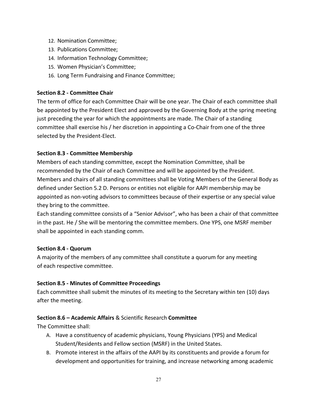- 12. Nomination Committee;
- 13. Publications Committee;
- 14. Information Technology Committee;
- 15. Women Physician's Committee;
- 16. Long Term Fundraising and Finance Committee;

#### **Section 8.2 - Committee Chair**

The term of office for each Committee Chair will be one year. The Chair of each committee shall be appointed by the President Elect and approved by the Governing Body at the spring meeting just preceding the year for which the appointments are made. The Chair of a standing committee shall exercise his / her discretion in appointing a Co-Chair from one of the three selected by the President-Elect.

#### **Section 8.3 - Committee Membership**

Members of each standing committee, except the Nomination Committee, shall be recommended by the Chair of each Committee and will be appointed by the President. Members and chairs of all standing committees shall be Voting Members of the General Body as defined under Section 5.2 D. Persons or entities not eligible for AAPI membership may be appointed as non-voting advisors to committees because of their expertise or any special value they bring to the committee.

Each standing committee consists of a "Senior Advisor", who has been a chair of that committee in the past. He / She will be mentoring the committee members. One YPS, one MSRF member shall be appointed in each standing comm.

#### **Section 8.4 - Quorum**

A majority of the members of any committee shall constitute a quorum for any meeting of each respective committee.

## **Section 8.5 - Minutes of Committee Proceedings**

Each committee shall submit the minutes of its meeting to the Secretary within ten (10) days after the meeting.

## **Section 8.6 – Academic Affairs** & Scientific Research **Committee**

The Committee shall:

- A. Have a constituency of academic physicians, Young Physicians (YPS) and Medical Student/Residents and Fellow section (MSRF) in the United States.
- B. Promote interest in the affairs of the AAPI by its constituents and provide a forum for development and opportunities for training, and increase networking among academic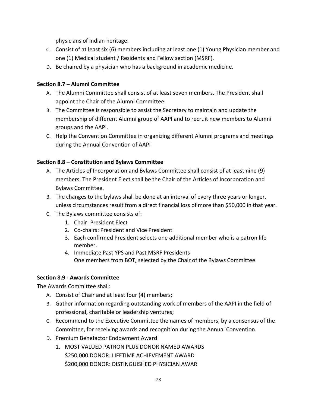physicians of Indian heritage.

- C. Consist of at least six (6) members including at least one (1) Young Physician member and one (1) Medical student / Residents and Fellow section (MSRF).
- D. Be chaired by a physician who has a background in academic medicine.

# **Section 8.7 – Alumni Committee**

- A. The Alumni Committee shall consist of at least seven members. The President shall appoint the Chair of the Alumni Committee.
- B. The Committee is responsible to assist the Secretary to maintain and update the membership of different Alumni group of AAPI and to recruit new members to Alumni groups and the AAPI.
- C. Help the Convention Committee in organizing different Alumni programs and meetings during the Annual Convention of AAPI

# **Section 8.8 – Constitution and Bylaws Committee**

- A. The Articles of Incorporation and Bylaws Committee shall consist of at least nine (9) members. The President Elect shall be the Chair of the Articles of Incorporation and Bylaws Committee.
- B. The changes to the bylaws shall be done at an interval of every three years or longer, unless circumstances result from a direct financial loss of more than \$50,000 in that year.
- C. The Bylaws committee consists of:
	- 1. Chair: President Elect
	- 2. Co-chairs: President and Vice President
	- 3. Each confirmed President selects one additional member who is a patron life member.
	- 4. Immediate Past YPS and Past MSRF Presidents One members from BOT, selected by the Chair of the Bylaws Committee.

# **Section 8.9 - Awards Committee**

The Awards Committee shall:

- A. Consist of Chair and at least four (4) members;
- B. Gather information regarding outstanding work of members of the AAPI in the field of professional, charitable or leadership ventures;
- C. Recommend to the Executive Committee the names of members, by a consensus of the Committee, for receiving awards and recognition during the Annual Convention.
- D. Premium Benefactor Endowment Award
	- 1. MOST VALUED PATRON PLUS DONOR NAMED AWARDS \$250,000 DONOR: LIFETIME ACHIEVEMENT AWARD \$200,000 DONOR: DISTINGUISHED PHYSICIAN AWAR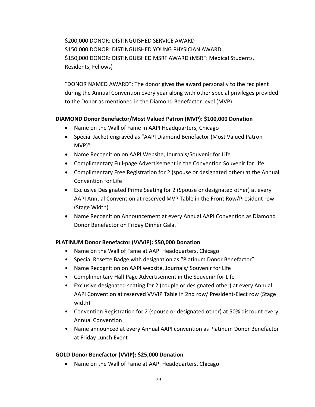\$200,000 DONOR: DISTINGUISHED SERVICE AWARD \$150,000 DONOR: DISTINGUISHED YOUNG PHYSICIAN AWARD \$150,000 DONOR: DISTINGUISHED MSRF AWARD (MSRF: Medical Students, Residents, Fellows)

"DONOR NAMED AWARD": The donor gives the award personally to the recipient during the Annual Convention every year along with other special privileges provided to the Donor as mentioned in the Diamond Benefactor level (MVP)

#### **DIAMOND Donor Benefactor/Most Valued Patron (MVP): \$100,000 Donation**

- Name on the Wall of Fame in AAPI Headquarters, Chicago
- Special Jacket engraved as "AAPI Diamond Benefactor (Most Valued Patron MVP)"
- Name Recognition on AAPI Website, Journals/Souvenir for Life
- Complimentary Full-page Advertisement in the Convention Souvenir for Life
- Complimentary Free Registration for 2 (spouse or designated other) at the Annual Convention for Life
- Exclusive Designated Prime Seating for 2 (Spouse or designated other) at every AAPI Annual Convention at reserved MVP Table in the Front Row/President row (Stage Width)
- Name Recognition Announcement at every Annual AAPI Convention as Diamond Donor Benefactor on Friday Dinner Gala.

## **PLATINUM Donor Benefactor (VVVIP): \$50,000 Donation**

- Name on the Wall of Fame at AAPI Headquarters, Chicago
- Special Rosette Badge with designation as "Platinum Donor Benefactor"
- Name Recognition on AAPI website, Journals/ Souvenir for Life
- Complimentary Half Page Advertisement in the Souvenir for Life
- Exclusive designated seating for 2 (couple or designated other) at every Annual AAPI Convention at reserved VVVIP Table in 2nd row/ President-Elect row (Stage width)
- Convention Registration for 2 (spouse or designated other) at 50% discount every Annual Convention
- Name announced at every Annual AAPI convention as Platinum Donor Benefactor at Friday Lunch Event

## **GOLD Donor Benefactor (VVIP): \$25,000 Donation**

• Name on the Wall of Fame at AAPI Headquarters, Chicago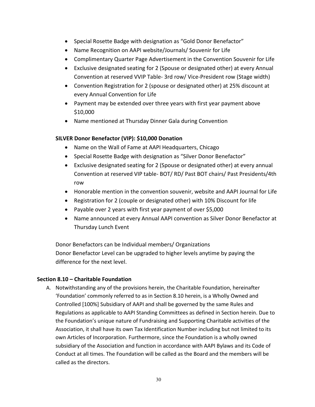- Special Rosette Badge with designation as "Gold Donor Benefactor"
- Name Recognition on AAPI website/Journals/ Souvenir for Life
- Complimentary Quarter Page Advertisement in the Convention Souvenir for Life
- Exclusive designated seating for 2 (Spouse or designated other) at every Annual Convention at reserved VVIP Table- 3rd row/ Vice-President row (Stage width)
- Convention Registration for 2 (spouse or designated other) at 25% discount at every Annual Convention for Life
- Payment may be extended over three years with first year payment above \$10,000
- Name mentioned at Thursday Dinner Gala during Convention

#### **SILVER Donor Benefactor (VIP): \$10,000 Donation**

- Name on the Wall of Fame at AAPI Headquarters, Chicago
- Special Rosette Badge with designation as "Silver Donor Benefactor"
- Exclusive designated seating for 2 (Spouse or designated other) at every annual Convention at reserved VIP table- BOT/ RD/ Past BOT chairs/ Past Presidents/4th row
- Honorable mention in the convention souvenir, website and AAPI Journal for Life
- Registration for 2 (couple or designated other) with 10% Discount for life
- Payable over 2 years with first year payment of over \$5,000
- Name announced at every Annual AAPI convention as Silver Donor Benefactor at Thursday Lunch Event

Donor Benefactors can be Individual members/ Organizations Donor Benefactor Level can be upgraded to higher levels anytime by paying the difference for the next level.

#### **Section 8.10 – Charitable Foundation**

A. Notwithstanding any of the provisions herein, the Charitable Foundation, hereinafter 'Foundation' commonly referred to as in Section 8.10 herein, is a Wholly Owned and Controlled [100%] Subsidiary of AAPI and shall be governed by the same Rules and Regulations as applicable to AAPI Standing Committees as defined in Section herein. Due to the Foundation's unique nature of Fundraising and Supporting Charitable activities of the Association, it shall have its own Tax Identification Number including but not limited to its own Articles of Incorporation. Furthermore, since the Foundation is a wholly owned subsidiary of the Association and function in accordance with AAPI Bylaws and its Code of Conduct at all times. The Foundation will be called as the Board and the members will be called as the directors.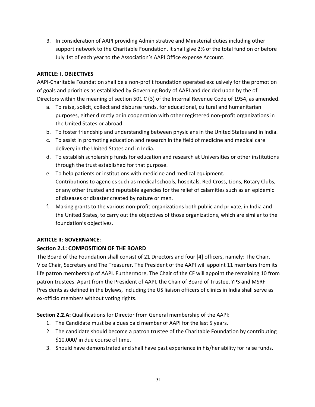B. In consideration of AAPI providing Administrative and Ministerial duties including other support network to the Charitable Foundation, it shall give 2% of the total fund on or before July 1st of each year to the Association's AAPI Office expense Account.

#### **ARTICLE: I. OBJECTIVES**

AAPI-Charitable Foundation shall be a non-profit foundation operated exclusively for the promotion of goals and priorities as established by Governing Body of AAPI and decided upon by the of Directors within the meaning of section 501 C (3) of the Internal Revenue Code of 1954, as amended.

- a. To raise, solicit, collect and disburse funds, for educational, cultural and humanitarian purposes, either directly or in cooperation with other registered non-profit organizations in the United States or abroad.
- b. To foster friendship and understanding between physicians in the United States and in India.
- c. To assist in promoting education and research in the field of medicine and medical care delivery in the United States and in India.
- d. To establish scholarship funds for education and research at Universities or other institutions through the trust established for that purpose.
- e. To help patients or institutions with medicine and medical equipment. Contributions to agencies such as medical schools, hospitals, Red Cross, Lions, Rotary Clubs, or any other trusted and reputable agencies for the relief of calamities such as an epidemic of diseases or disaster created by nature or men.
- f. Making grants to the various non-profit organizations both public and private, in India and the United States, to carry out the objectives of those organizations, which are similar to the foundation's objectives.

## **ARTICLE II: GOVERNANCE:**

## **Section 2.1: COMPOSITION OF THE BOARD**

The Board of the Foundation shall consist of 21 Directors and four [4] officers, namely: The Chair, Vice Chair, Secretary and The Treasurer. The President of the AAPI will appoint 11 members from its life patron membership of AAPI. Furthermore, The Chair of the CF will appoint the remaining 10 from patron trustees. Apart from the President of AAPI, the Chair of Board of Trustee, YPS and MSRF Presidents as defined in the bylaws, including the US liaison officers of clinics in India shall serve as ex-officio members without voting rights.

**Section 2.2.A:** Qualifications for Director from General membership of the AAPI:

- 1. The Candidate must be a dues paid member of AAPI for the last 5 years.
- 2. The candidate should become a patron trustee of the Charitable Foundation by contributing \$10,000/ in due course of time.
- 3. Should have demonstrated and shall have past experience in his/her ability for raise funds.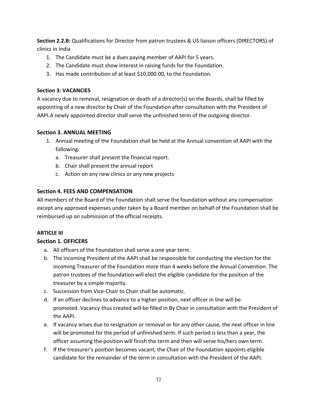**Section 2.2.B:** Qualifications for Director from patron trustees & US liaison officers (DIRECTORS) of clinics in India

- 1. The Candidate must be a dues paying member of AAPI for 5 years.
- 2. The Candidate must show interest in raising funds for the Foundation.
- 3. Has made contribution of at least \$10,000.00, to the Foundation.

## **Section 3: VACANCIES**

A vacancy due to removal, resignation or death of a director(s) on the Boards, shall be filled by appointing of a new director by Chair of the Foundation after consultation with the President of AAPI.A newly appointed director shall serve the unfinished term of the outgoing director.

## **Section 3. ANNUAL MEETING**

- 1. Annual meeting of the Foundation shall be held at the Annual convention of AAPI with the following.
	- a. Treasurer shall present the financial report.
	- b. Chair shall present the annual report
	- c. Action on any new clinics or any new projects

# **Section 4. FEES AND COMPENSATION**

All members of the Board of the Foundation shall serve the foundation without any compensation except any approved expenses under taken by a Board member on behalf of the Foundation shall be reimbursed up on submission of the official receipts.

## **ARTICLE III**

## **Section 1. OFFICERS**

- a. All officers of the Foundation shall serve a one year term.
- b. The incoming President of the AAPI shall be responsible for conducting the election for the incoming Treasurer of the Foundation more than 4 weeks before the Annual Convention. The patron trustees of the foundation will elect the eligible candidate for the position of the treasurer by a simple majority.
- c. Succession from Vice-Chair to Chair shall be automatic.
- d. If an officer declines to advance to a higher position, next officer in line will be promoted. Vacancy thus created will be filled in By Chair in consultation with the President of the AAPI.
- e. If vacancy arises due to resignation or removal or for any other cause, the next officer in line will be promoted for the period of unfinished term. If such period is less than a year, the officer assuming the position will finish the term and then will serve his/hers own term.
- f. If the treasurer's position becomes vacant, the Chair of the Foundation appoints eligible candidate for the remainder of the term in consultation with the President of the AAPI.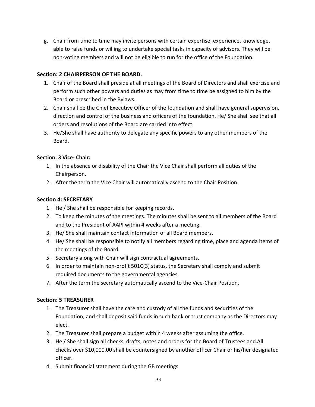g. Chair from time to time may invite persons with certain expertise, experience, knowledge, able to raise funds or willing to undertake special tasks in capacity of advisors. They will be non-voting members and will not be eligible to run for the office of the Foundation.

## **Section: 2 CHAIRPERSON OF THE BOARD.**

- 1. Chair of the Board shall preside at all meetings of the Board of Directors and shall exercise and perform such other powers and duties as may from time to time be assigned to him by the Board or prescribed in the Bylaws.
- 2. Chair shall be the Chief Executive Officer of the foundation and shall have general supervision, direction and control of the business and officers of the foundation. He/ She shall see that all orders and resolutions of the Board are carried into effect.
- 3. He/She shall have authority to delegate any specific powers to any other members of the Board.

# **Section: 3 Vice- Chair:**

- 1. In the absence or disability of the Chair the Vice Chair shall perform all duties of the Chairperson.
- 2. After the term the Vice Chair will automatically ascend to the Chair Position.

# **Section 4: SECRETARY**

- 1. He / She shall be responsible for keeping records.
- 2. To keep the minutes of the meetings. The minutes shall be sent to all members of the Board and to the President of AAPI within 4 weeks after a meeting.
- 3. He/ She shall maintain contact information of all Board members.
- 4. He/ She shall be responsible to notify all members regarding time, place and agenda items of the meetings of the Board.
- 5. Secretary along with Chair will sign contractual agreements.
- 6. In order to maintain non-profit 501C(3) status, the Secretary shall comply and submit required documents to the governmental agencies.
- 7. After the term the secretary automatically ascend to the Vice-Chair Position.

# **Section: 5 TREASURER**

- 1. The Treasurer shall have the care and custody of all the funds and securities of the Foundation, and shall deposit said funds in such bank or trust company as the Directors may elect.
- 2. The Treasurer shall prepare a budget within 4 weeks after assuming the office.
- 3. He / She shall sign all checks, drafts, notes and orders for the Board of Trustees and All checks over \$10,000.00 shall be countersigned by another officer Chair or his/her designated officer.
- 4. Submit financial statement during the GB meetings.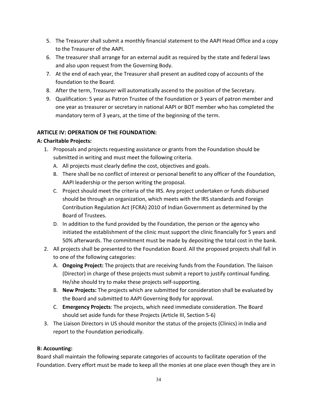- 5. The Treasurer shall submit a monthly financial statement to the AAPI Head Office and a copy to the Treasurer of the AAPI.
- 6. The treasurer shall arrange for an external audit as required by the state and federal laws and also upon request from the Governing Body.
- 7. At the end of each year, the Treasurer shall present an audited copy of accounts of the foundation to the Board.
- 8. After the term, Treasurer will automatically ascend to the position of the Secretary.
- 9. Qualification: 5 year as Patron Trustee of the Foundation or 3 years of patron member and one year as treasurer or secretary in national AAPI or BOT member who has completed the mandatory term of 3 years, at the time of the beginning of the term.

# **ARTICLE IV: OPERATION OF THE FOUNDATION:**

## **A: Charitable Projects:**

- 1. Proposals and projects requesting assistance or grants from the Foundation should be submitted in writing and must meet the following criteria.
	- A. All projects must clearly define the cost, objectives and goals.
	- B. There shall be no conflict of interest or personal benefit to any officer of the Foundation, AAPI leadership or the person writing the proposal.
	- C. Project should meet the criteria of the IRS. Any project undertaken or funds disbursed should be through an organization, which meets with the IRS standards and Foreign Contribution Regulation Act (FCRA) 2010 of Indian Government as determined by the Board of Trustees.
	- D. In addition to the fund provided by the Foundation, the person or the agency who initiated the establishment of the clinic must support the clinic financially for 5 years and 50% afterwards. The commitment must be made by depositing the total cost in the bank.
- 2. All projects shall be presented to the Foundation Board. All the proposed projects shall fall in to one of the following categories:
	- A. **Ongoing Project:** The projects that are receiving funds from the Foundation. The liaison (Director) in charge of these projects must submit a report to justify continual funding. He/she should try to make these projects self-supporting.
	- B. **New Projects:** The projects which are submitted for consideration shall be evaluated by the Board and submitted to AAPI Governing Body for approval.
	- C. **Emergency Projects**: The projects, which need immediate consideration. The Board should set aside funds for these Projects (Article III, Section 5-6)
- 3. The Liaison Directors in US should monitor the status of the projects (Clinics) in India and report to the Foundation periodically.

#### **B: Accounting:**

Board shall maintain the following separate categories of accounts to facilitate operation of the Foundation. Every effort must be made to keep all the monies at one place even though they are in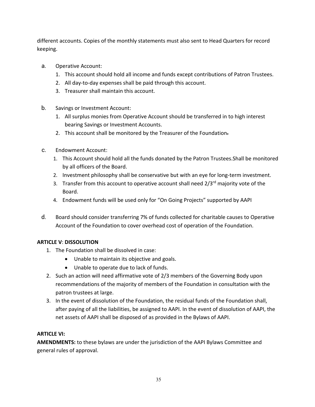different accounts. Copies of the monthly statements must also sent to Head Quarters for record keeping.

- a. Operative Account:
	- 1. This account should hold all income and funds except contributions of Patron Trustees.
	- 2. All day-to-day expenses shall be paid through this account.
	- 3. Treasurer shall maintain this account.
- b. Savings or Investment Account:
	- 1. All surplus monies from Operative Account should be transferred in to high interest bearing Savings or Investment Accounts.
	- 2. This account shall be monitored by the Treasurer of the Foundation.
- c. Endowment Account:
	- 1. This Account should hold all the funds donated by the Patron Trustees.Shall be monitored by all officers of the Board.
	- 2. Investment philosophy shall be conservative but with an eye for long-term investment.
	- 3. Transfer from this account to operative account shall need 2/3<sup>rd</sup> majority vote of the Board.
	- 4. Endowment funds will be used only for "On Going Projects" supported by AAPI
- d. Board should consider transferring 7% of funds collected for charitable causes to Operative Account of the Foundation to cover overhead cost of operation of the Foundation.

## **ARTICLE V**: **DISSOLUTION**

- 1. The Foundation shall be dissolved in case:
	- Unable to maintain its objective and goals.
	- Unable to operate due to lack of funds.
- 2. Such an action will need affirmative vote of 2/3 members of the Governing Body upon recommendations of the majority of members of the Foundation in consultation with the patron trustees at large.
- 3. In the event of dissolution of the Foundation, the residual funds of the Foundation shall, after paying of all the liabilities, be assigned to AAPI. In the event of dissolution of AAPI, the net assets of AAPI shall be disposed of as provided in the Bylaws of AAPI.

## **ARTICLE VI:**

**AMENDMENTS:** to these bylaws are under the jurisdiction of the AAPI Bylaws Committee and general rules of approval.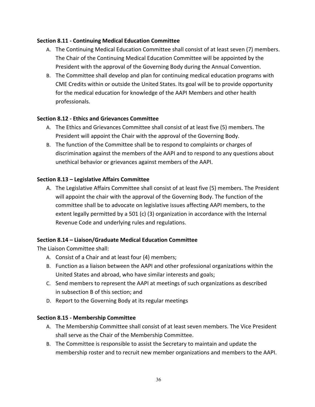### **Section 8.11 - Continuing Medical Education Committee**

- A. The Continuing Medical Education Committee shall consist of at least seven (7) members. The Chair of the Continuing Medical Education Committee will be appointed by the President with the approval of the Governing Body during the Annual Convention.
- B. The Committee shall develop and plan for continuing medical education programs with CME Credits within or outside the United States. Its goal will be to provide opportunity for the medical education for knowledge of the AAPI Members and other health professionals.

## **Section 8.12 - Ethics and Grievances Committee**

- A. The Ethics and Grievances Committee shall consist of at least five (5) members. The President will appoint the Chair with the approval of the Governing Body.
- B. The function of the Committee shall be to respond to complaints or charges of discrimination against the members of the AAPI and to respond to any questions about unethical behavior or grievances against members of the AAPI.

#### **Section 8.13 – Legislative Affairs Committee**

A. The Legislative Affairs Committee shall consist of at least five (5) members. The President will appoint the chair with the approval of the Governing Body. The function of the committee shall be to advocate on legislative issues affecting AAPI members, to the extent legally permitted by a 501 (c) (3) organization in accordance with the Internal Revenue Code and underlying rules and regulations.

## **Section 8.14 – Liaison/Graduate Medical Education Committee**

The Liaison Committee shall:

- A. Consist of a Chair and at least four (4) members;
- B. Function as a liaison between the AAPI and other professional organizations within the United States and abroad, who have similar interests and goals;
- C. Send members to represent the AAPI at meetings of such organizations as described in subsection B of this section; and
- D. Report to the Governing Body at its regular meetings

## **Section 8.15 - Membership Committee**

- A. The Membership Committee shall consist of at least seven members. The Vice President shall serve as the Chair of the Membership Committee.
- B. The Committee is responsible to assist the Secretary to maintain and update the membership roster and to recruit new member organizations and members to the AAPI.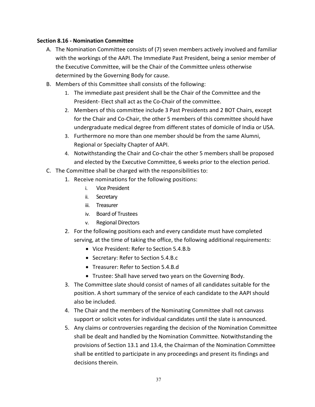#### **Section 8.16 - Nomination Committee**

- A. The Nomination Committee consists of (7) seven members actively involved and familiar with the workings of the AAPI. The Immediate Past President, being a senior member of the Executive Committee, will be the Chair of the Committee unless otherwise determined by the Governing Body for cause.
- B. Members of this Committee shall consists of the following:
	- 1. The immediate past president shall be the Chair of the Committee and the President- Elect shall act as the Co-Chair of the committee.
	- 2. Members of this committee include 3 Past Presidents and 2 BOT Chairs, except for the Chair and Co-Chair, the other 5 members of this committee should have undergraduate medical degree from different states of domicile of India or USA.
	- 3. Furthermore no more than one member should be from the same Alumni, Regional or Specialty Chapter of AAPI.
	- 4. Notwithstanding the Chair and Co-chair the other 5 members shall be proposed and elected by the Executive Committee, 6 weeks prior to the election period.
- C. The Committee shall be charged with the responsibilities to:
	- 1. Receive nominations for the following positions:
		- i. Vice President
		- ii. Secretary
		- iii. Treasurer
		- iv. Board of Trustees
		- v. Regional Directors
	- 2. For the following positions each and every candidate must have completed serving, at the time of taking the office, the following additional requirements:
		- Vice President: Refer to Section 5.4.B.b
		- Secretary: Refer to Section 5.4.B.c
		- Treasurer: Refer to Section 5.4.B.d
		- Trustee: Shall have served two years on the Governing Body.
	- 3. The Committee slate should consist of names of all candidates suitable for the position. A short summary of the service of each candidate to the AAPI should also be included.
	- 4. The Chair and the members of the Nominating Committee shall not canvass support or solicit votes for individual candidates until the slate is announced.
	- 5. Any claims or controversies regarding the decision of the Nomination Committee shall be dealt and handled by the Nomination Committee. Notwithstanding the provisions of Section 13.1 and 13.4, the Chairman of the Nomination Committee shall be entitled to participate in any proceedings and present its findings and decisions therein.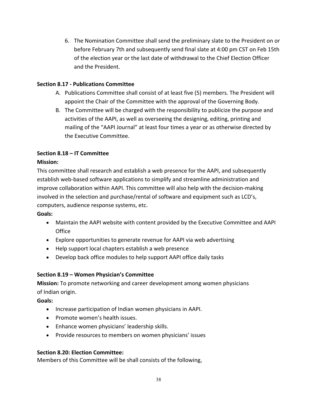6. The Nomination Committee shall send the preliminary slate to the President on or before February 7th and subsequently send final slate at 4:00 pm CST on Feb 15th of the election year or the last date of withdrawal to the Chief Election Officer and the President.

#### **Section 8.17 - Publications Committee**

- A. Publications Committee shall consist of at least five (5) members. The President will appoint the Chair of the Committee with the approval of the Governing Body.
- B. The Committee will be charged with the responsibility to publicize the purpose and activities of the AAPI, as well as overseeing the designing, editing, printing and mailing of the "AAPI Journal" at least four times a year or as otherwise directed by the Executive Committee.

## **Section 8.18 – IT Committee**

#### **Mission:**

This committee shall research and establish a web presence for the AAPI, and subsequently establish web-based software applications to simplify and streamline administration and improve collaboration within AAPI. This committee will also help with the decision-making involved in the selection and purchase/rental of software and equipment such as LCD's, computers, audience response systems, etc.

#### **Goals:**

- Maintain the AAPI website with content provided by the Executive Committee and AAPI **Office**
- Explore opportunities to generate revenue for AAPI via web advertising
- Help support local chapters establish a web presence
- Develop back office modules to help support AAPI office daily tasks

## **Section 8.19 – Women Physician's Committee**

**Mission:** To promote networking and career development among women physicians of Indian origin.

## **Goals:**

- Increase participation of Indian women physicians in AAPI.
- Promote women's health issues.
- Enhance women physicians' leadership skills.
- Provide resources to members on women physicians' issues

## **Section 8.20: Election Committee:**

Members of this Committee will be shall consists of the following,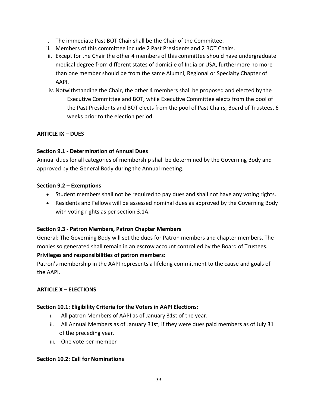- i. The immediate Past BOT Chair shall be the Chair of the Committee.
- ii. Members of this committee include 2 Past Presidents and 2 BOT Chairs.
- iii. Except for the Chair the other 4 members of this committee should have undergraduate medical degree from different states of domicile of India or USA, furthermore no more than one member should be from the same Alumni, Regional or Specialty Chapter of AAPI.
- iv. Notwithstanding the Chair, the other 4 members shall be proposed and elected by the Executive Committee and BOT, while Executive Committee elects from the pool of the Past Presidents and BOT elects from the pool of Past Chairs, Board of Trustees, 6 weeks prior to the election period.

## **ARTICLE IX – DUES**

# **Section 9.1 - Determination of Annual Dues**

Annual dues for all categories of membership shall be determined by the Governing Body and approved by the General Body during the Annual meeting.

## **Section 9.2 – Exemptions**

- Student members shall not be required to pay dues and shall not have any voting rights.
- Residents and Fellows will be assessed nominal dues as approved by the Governing Body with voting rights as per section 3.1A.

## **Section 9.3 - Patron Members, Patron Chapter Members**

General: The Governing Body will set the dues for Patron members and chapter members. The monies so generated shall remain in an escrow account controlled by the Board of Trustees.

## **Privileges and responsibilities of patron members:**

Patron's membership in the AAPI represents a lifelong commitment to the cause and goals of the AAPI.

## **ARTICLE X – ELECTIONS**

## **Section 10.1: Eligibility Criteria for the Voters in AAPI Elections:**

- i. All patron Members of AAPI as of January 31st of the year.
- ii. All Annual Members as of January 31st, if they were dues paid members as of July 31 of the preceding year.
- iii. One vote per member

## **Section 10.2: Call for Nominations**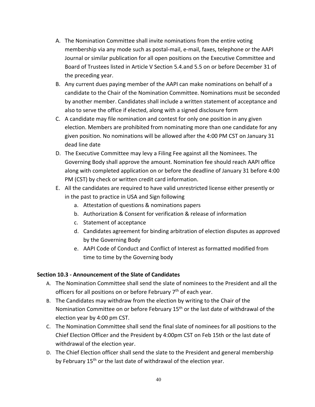- A. The Nomination Committee shall invite nominations from the entire voting membership via any mode such as postal-mail, e-mail, faxes, telephone or the AAPI Journal or similar publication for all open positions on the Executive Committee and Board of Trustees listed in Article V Section 5.4.and 5.5 on or before December 31 of the preceding year.
- B. Any current dues paying member of the AAPI can make nominations on behalf of a candidate to the Chair of the Nomination Committee. Nominations must be seconded by another member. Candidates shall include a written statement of acceptance and also to serve the office if elected, along with a signed disclosure form
- C. A candidate may file nomination and contest for only one position in any given election. Members are prohibited from nominating more than one candidate for any given position. No nominations will be allowed after the 4:00 PM CST on January 31 dead line date
- D. The Executive Committee may levy a Filing Fee against all the Nominees. The Governing Body shall approve the amount. Nomination fee should reach AAPI office along with completed application on or before the deadline of January 31 before 4:00 PM (CST) by check or written credit card information.
- E. All the candidates are required to have valid unrestricted license either presently or in the past to practice in USA and Sign following
	- a. Attestation of questions & nominations papers
	- b. Authorization & Consent for verification & release of information
	- c. Statement of acceptance
	- d. Candidates agreement for binding arbitration of election disputes as approved by the Governing Body
	- e. AAPI Code of Conduct and Conflict of Interest as formatted modified from time to time by the Governing body

# **Section 10.3 - Announcement of the Slate of Candidates**

- A. The Nomination Committee shall send the slate of nominees to the President and all the officers for all positions on or before February 7<sup>th</sup> of each year.
- B. The Candidates may withdraw from the election by writing to the Chair of the Nomination Committee on or before February 15<sup>th</sup> or the last date of withdrawal of the election year by 4:00 pm CST.
- C. The Nomination Committee shall send the final slate of nominees for all positions to the Chief Election Officer and the President by 4:00pm CST on Feb 15th or the last date of withdrawal of the election year.
- D. The Chief Election officer shall send the slate to the President and general membership by February 15<sup>th</sup> or the last date of withdrawal of the election year.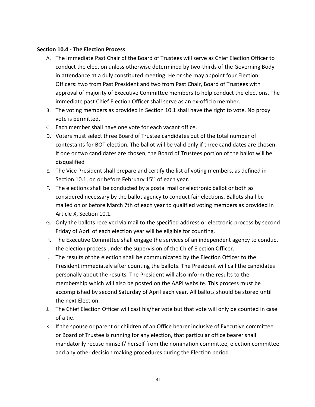#### **Section 10.4 - The Election Process**

- A. The Immediate Past Chair of the Board of Trustees will serve as Chief Election Officer to conduct the election unless otherwise determined by two-thirds of the Governing Body in attendance at a duly constituted meeting. He or she may appoint four Election Officers: two from Past President and two from Past Chair, Board of Trustees with approval of majority of Executive Committee members to help conduct the elections. The immediate past Chief Election Officer shall serve as an ex-officio member.
- B. The voting members as provided in Section 10.1 shall have the right to vote. No proxy vote is permitted.
- C. Each member shall have one vote for each vacant office.
- D. Voters must select three Board of Trustee candidates out of the total number of contestants for BOT election. The ballot will be valid only if three candidates are chosen. If one or two candidates are chosen, the Board of Trustees portion of the ballot will be disqualified
- E. The Vice President shall prepare and certify the list of voting members, as defined in Section 10.1, on or before February 15<sup>th</sup> of each year.
- F. The elections shall be conducted by a postal mail or electronic ballot or both as considered necessary by the ballot agency to conduct fair elections. Ballots shall be mailed on or before March 7th of each year to qualified voting members as provided in Article X, Section 10.1.
- G. Only the ballots received via mail to the specified address or electronic process by second Friday of April of each election year will be eligible for counting.
- H. The Executive Committee shall engage the services of an independent agency to conduct the election process under the supervision of the Chief Election Officer.
- I. The results of the election shall be communicated by the Election Officer to the President immediately after counting the ballots. The President will call the candidates personally about the results. The President will also inform the results to the membership which will also be posted on the AAPI website. This process must be accomplished by second Saturday of April each year. All ballots should be stored until the next Election.
- J. The Chief Election Officer will cast his/her vote but that vote will only be counted in case of a tie.
- K. If the spouse or parent or children of an Office bearer inclusive of Executive committee or Board of Trustee is running for any election, that particular office bearer shall mandatorily recuse himself/ herself from the nomination committee, election committee and any other decision making procedures during the Election period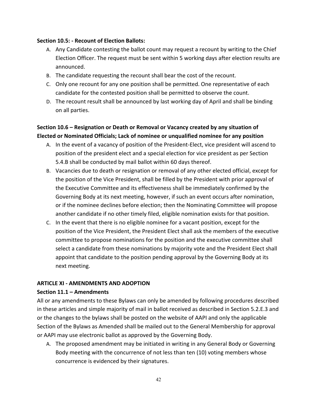#### **Section 10.5: - Recount of Election Ballots:**

- A. Any Candidate contesting the ballot count may request a recount by writing to the Chief Election Officer. The request must be sent within 5 working days after election results are announced.
- B. The candidate requesting the recount shall bear the cost of the recount.
- C. Only one recount for any one position shall be permitted. One representative of each candidate for the contested position shall be permitted to observe the count.
- D. The recount result shall be announced by last working day of April and shall be binding on all parties.

# **Section 10.6 – Resignation or Death or Removal or Vacancy created by any situation of Elected or Nominated Officials; Lack of nominee or unqualified nominee for any position**

- A. In the event of a vacancy of position of the President-Elect, vice president will ascend to position of the president elect and a special election for vice president as per Section 5.4.B shall be conducted by mail ballot within 60 days thereof.
- B. Vacancies due to death or resignation or removal of any other elected official, except for the position of the Vice President, shall be filled by the President with prior approval of the Executive Committee and its effectiveness shall be immediately confirmed by the Governing Body at its next meeting, however, if such an event occurs after nomination, or if the nominee declines before election; then the Nominating Committee will propose another candidate if no other timely filed, eligible nomination exists for that position.
- C. In the event that there is no eligible nominee for a vacant position, except for the position of the Vice President, the President Elect shall ask the members of the executive committee to propose nominations for the position and the executive committee shall select a candidate from these nominations by majority vote and the President Elect shall appoint that candidate to the position pending approval by the Governing Body at its next meeting.

## **ARTICLE XI - AMENDMENTS AND ADOPTION**

#### **Section 11.1 – Amendments**

All or any amendments to these Bylaws can only be amended by following procedures described in these articles and simple majority of mail in ballot received as described in Section 5.2.E.3 and or the changes to the bylaws shall be posted on the website of AAPI and only the applicable Section of the Bylaws as Amended shall be mailed out to the General Membership for approval or AAPI may use electronic ballot as approved by the Governing Body.

A. The proposed amendment may be initiated in writing in any General Body or Governing Body meeting with the concurrence of not less than ten (10) voting members whose concurrence is evidenced by their signatures.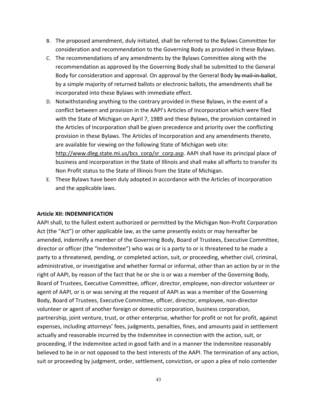- B. The proposed amendment, duly initiated, shall be referred to the Bylaws Committee for consideration and recommendation to the Governing Body as provided in these Bylaws.
- C. The recommendations of any amendments by the Bylaws Committee along with the recommendation as approved by the Governing Body shall be submitted to the General Body for consideration and approval. On approval by the General Body by mail-in-ballot, by a simple majority of returned ballots or electronic ballots, the amendments shall be incorporated into these Bylaws with immediate effect.
- D. Notwithstanding anything to the contrary provided in these Bylaws, in the event of a conflict between and provision in the AAPI's Articles of Incorporation which were filed with the State of Michigan on April 7, 1989 and these Bylaws, the provision contained in the Articles of Incorporation shall be given precedence and priority over the conflicting provision in these Bylaws. The Articles of Incorporation and any amendments thereto, are available for viewing on the following State of Michigan web site: [http://www.dleg.state.mi.us/bcs\\_corp/sr\\_corp.asp.](http://www.dleg.state.mi.us/bcs_corp/sr_corp.asp) AAPI shall have its principal place of business and incorporation in the State of Illinois and shall make all efforts to transfer its Non Profit status to the State of Illinois from the State of Michigan.
- E. These Bylaws have been duly adopted in accordance with the Articles of Incorporation and the applicable laws.

#### **Article XII: INDEMNIFICATION**

AAPI shall, to the fullest extent authorized or permitted by the Michigan Non-Profit Corporation Act (the "Act") or other applicable law, as the same presently exists or may hereafter be amended, indemnify a member of the Governing Body, Board of Trustees, Executive Committee, director or officer (the "Indemnitee") who was or is a party to or is threatened to be made a party to a threatened, pending, or completed action, suit, or proceeding, whether civil, criminal, administrative, or investigative and whether formal or informal, other than an action by or in the right of AAPI, by reason of the fact that he or she is or was a member of the Governing Body, Board of Trustees, Executive Committee, officer, director, employee, non-director volunteer or agent of AAPI, or is or was serving at the request of AAPI as was a member of the Governing Body, Board of Trustees, Executive Committee, officer, director, employee, non-director volunteer or agent of another foreign or domestic corporation, business corporation, partnership, joint venture, trust, or other enterprise, whether for profit or not for profit, against expenses, including attorneys' fees, judgments, penalties, fines, and amounts paid in settlement actually and reasonable incurred by the Indemnitee in connection with the action, suit, or proceeding, if the Indemnitee acted in good faith and in a manner the Indemnitee reasonably believed to be in or not opposed to the best interests of the AAPI. The termination of any action, suit or proceeding by judgment, order, settlement, conviction, or upon a plea of nolo contender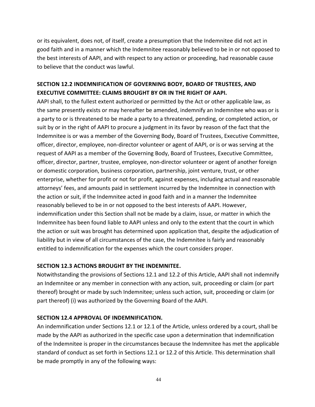or its equivalent, does not, of itself, create a presumption that the Indemnitee did not act in good faith and in a manner which the Indemnitee reasonably believed to be in or not opposed to the best interests of AAPI, and with respect to any action or proceeding, had reasonable cause to believe that the conduct was lawful.

# **SECTION 12.2 INDEMNIFICATION OF GOVERNING BODY, BOARD OF TRUSTEES, AND EXECUTIVE COMMITTEE: CLAIMS BROUGHT BY OR IN THE RIGHT OF AAPI.**

AAPI shall, to the fullest extent authorized or permitted by the Act or other applicable law, as the same presently exists or may hereafter be amended, indemnify an Indemnitee who was or is a party to or is threatened to be made a party to a threatened, pending, or completed action, or suit by or in the right of AAPI to procure a judgment in its favor by reason of the fact that the Indemnitee is or was a member of the Governing Body, Board of Trustees, Executive Committee, officer, director, employee, non-director volunteer or agent of AAPI, or is or was serving at the request of AAPI as a member of the Governing Body, Board of Trustees, Executive Committee, officer, director, partner, trustee, employee, non-director volunteer or agent of another foreign or domestic corporation, business corporation, partnership, joint venture, trust, or other enterprise, whether for profit or not for profit, against expenses, including actual and reasonable attorneys' fees, and amounts paid in settlement incurred by the Indemnitee in connection with the action or suit, if the Indemnitee acted in good faith and in a manner the Indemnitee reasonably believed to be in or not opposed to the best interests of AAPI. However, indemnification under this Section shall not be made by a claim, issue, or matter in which the Indemnitee has been found liable to AAPI unless and only to the extent that the court in which the action or suit was brought has determined upon application that, despite the adjudication of liability but in view of all circumstances of the case, the Indemnitee is fairly and reasonably entitled to indemnification for the expenses which the court considers proper.

## **SECTION 12.3 ACTIONS BROUGHT BY THE INDEMNITEE.**

Notwithstanding the provisions of Sections 12.1 and 12.2 of this Article, AAPI shall not indemnify an Indemnitee or any member in connection with any action, suit, proceeding or claim (or part thereof) brought or made by such Indemnitee; unless such action, suit, proceeding or claim (or part thereof) (i) was authorized by the Governing Board of the AAPI.

#### **SECTION 12.4 APPROVAL OF INDEMNIFICATION.**

An indemnification under Sections 12.1 or 12.1 of the Article, unless ordered by a court, shall be made by the AAPI as authorized in the specific case upon a determination that indemnification of the Indemnitee is proper in the circumstances because the Indemnitee has met the applicable standard of conduct as set forth in Sections 12.1 or 12.2 of this Article. This determination shall be made promptly in any of the following ways: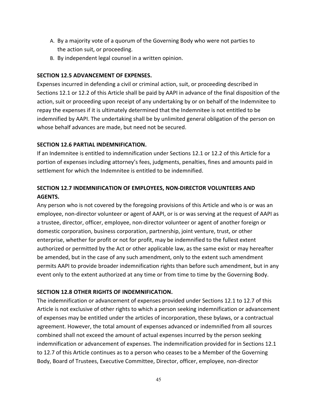- A. By a majority vote of a quorum of the Governing Body who were not parties to the action suit, or proceeding.
- B. By independent legal counsel in a written opinion.

#### **SECTION 12.5 ADVANCEMENT OF EXPENSES.**

Expenses incurred in defending a civil or criminal action, suit, or proceeding described in Sections 12.1 or 12.2 of this Article shall be paid by AAPI in advance of the final disposition of the action, suit or proceeding upon receipt of any undertaking by or on behalf of the Indemnitee to repay the expenses if it is ultimately determined that the Indemnitee is not entitled to be indemnified by AAPI. The undertaking shall be by unlimited general obligation of the person on whose behalf advances are made, but need not be secured.

#### **SECTION 12.6 PARTIAL INDEMNIFICATION.**

If an Indemnitee is entitled to indemnification under Sections 12.1 or 12.2 of this Article for a portion of expenses including attorney's fees, judgments, penalties, fines and amounts paid in settlement for which the Indemnitee is entitled to be indemnified.

# **SECTION 12.7 INDEMNIFICATION OF EMPLOYEES, NON-DIRECTOR VOLUNTEERS AND AGENTS.**

Any person who is not covered by the foregoing provisions of this Article and who is or was an employee, non-director volunteer or agent of AAPI, or is or was serving at the request of AAPI as a trustee, director, officer, employee, non-director volunteer or agent of another foreign or domestic corporation, business corporation, partnership, joint venture, trust, or other enterprise, whether for profit or not for profit, may be indemnified to the fullest extent authorized or permitted by the Act or other applicable law, as the same exist or may hereafter be amended, but in the case of any such amendment, only to the extent such amendment permits AAPI to provide broader indemnification rights than before such amendment, but in any event only to the extent authorized at any time or from time to time by the Governing Body.

## **SECTION 12.8 OTHER RIGHTS OF INDEMNIFICATION.**

The indemnification or advancement of expenses provided under Sections 12.1 to 12.7 of this Article is not exclusive of other rights to which a person seeking indemnification or advancement of expenses may be entitled under the articles of incorporation, these bylaws, or a contractual agreement. However, the total amount of expenses advanced or indemnified from all sources combined shall not exceed the amount of actual expenses incurred by the person seeking indemnification or advancement of expenses. The indemnification provided for in Sections 12.1 to 12.7 of this Article continues as to a person who ceases to be a Member of the Governing Body, Board of Trustees, Executive Committee, Director, officer, employee, non-director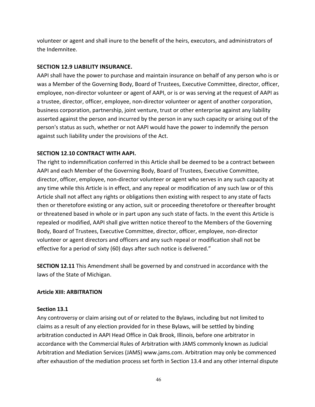volunteer or agent and shall inure to the benefit of the heirs, executors, and administrators of the Indemnitee.

#### **SECTION 12.9 LIABILITY INSURANCE.**

AAPI shall have the power to purchase and maintain insurance on behalf of any person who is or was a Member of the Governing Body, Board of Trustees, Executive Committee, director, officer, employee, non-director volunteer or agent of AAPI, or is or was serving at the request of AAPI as a trustee, director, officer, employee, non-director volunteer or agent of another corporation, business corporation, partnership, joint venture, trust or other enterprise against any liability asserted against the person and incurred by the person in any such capacity or arising out of the person's status as such, whether or not AAPI would have the power to indemnify the person against such liability under the provisions of the Act.

## **SECTION 12.10 CONTRACT WITH AAPI.**

The right to indemnification conferred in this Article shall be deemed to be a contract between AAPI and each Member of the Governing Body, Board of Trustees, Executive Committee, director, officer, employee, non-director volunteer or agent who serves in any such capacity at any time while this Article is in effect, and any repeal or modification of any such law or of this Article shall not affect any rights or obligations then existing with respect to any state of facts then or theretofore existing or any action, suit or proceeding theretofore or thereafter brought or threatened based in whole or in part upon any such state of facts. In the event this Article is repealed or modified, AAPI shall give written notice thereof to the Members of the Governing Body, Board of Trustees, Executive Committee, director, officer, employee, non-director volunteer or agent directors and officers and any such repeal or modification shall not be effective for a period of sixty (60) days after such notice is delivered."

**SECTION 12.11** This Amendment shall be governed by and construed in accordance with the laws of the State of Michigan.

## **Article XIII: ARBITRATION**

#### **Section 13.1**

Any controversy or claim arising out of or related to the Bylaws, including but not limited to claims as a result of any election provided for in these Bylaws, will be settled by binding arbitration conducted in AAPI Head Office in Oak Brook, Illinois, before one arbitrator in accordance with the Commercial Rules of Arbitration with JAMS commonly known as Judicial Arbitration and Mediation Services (JAMS) www.jams.com. Arbitration may only be commenced after exhaustion of the mediation process set forth in Section 13.4 and any other internal dispute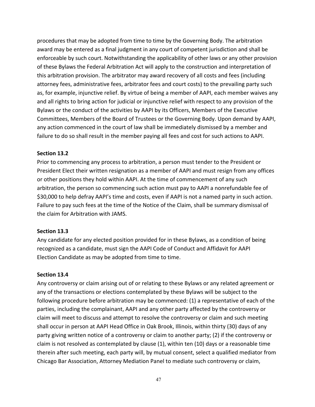procedures that may be adopted from time to time by the Governing Body. The arbitration award may be entered as a final judgment in any court of competent jurisdiction and shall be enforceable by such court. Notwithstanding the applicability of other laws or any other provision of these Bylaws the Federal Arbitration Act will apply to the construction and interpretation of this arbitration provision. The arbitrator may award recovery of all costs and fees (including attorney fees, administrative fees, arbitrator fees and court costs) to the prevailing party such as, for example, injunctive relief. By virtue of being a member of AAPI, each member waives any and all rights to bring action for judicial or injunctive relief with respect to any provision of the Bylaws or the conduct of the activities by AAPI by its Officers, Members of the Executive Committees, Members of the Board of Trustees or the Governing Body. Upon demand by AAPI, any action commenced in the court of law shall be immediately dismissed by a member and failure to do so shall result in the member paying all fees and cost for such actions to AAPI.

#### **Section 13.2**

Prior to commencing any process to arbitration, a person must tender to the President or President Elect their written resignation as a member of AAPI and must resign from any offices or other positions they hold within AAPI. At the time of commencement of any such arbitration, the person so commencing such action must pay to AAPI a nonrefundable fee of \$30,000 to help defray AAPI's time and costs, even if AAPI is not a named party in such action. Failure to pay such fees at the time of the Notice of the Claim, shall be summary dismissal of the claim for Arbitration with JAMS.

## **Section 13.3**

Any candidate for any elected position provided for in these Bylaws, as a condition of being recognized as a candidate, must sign the AAPI Code of Conduct and Affidavit for AAPI Election Candidate as may be adopted from time to time.

#### **Section 13.4**

Any controversy or claim arising out of or relating to these Bylaws or any related agreement or any of the transactions or elections contemplated by these Bylaws will be subject to the following procedure before arbitration may be commenced: (1) a representative of each of the parties, including the complainant, AAPI and any other party affected by the controversy or claim will meet to discuss and attempt to resolve the controversy or claim and such meeting shall occur in person at AAPI Head Office in Oak Brook, Illinois, within thirty (30) days of any party giving written notice of a controversy or claim to another party; (2) if the controversy or claim is not resolved as contemplated by clause (1), within ten (10) days or a reasonable time therein after such meeting, each party will, by mutual consent, select a qualified mediator from Chicago Bar Association, Attorney Mediation Panel to mediate such controversy or claim,